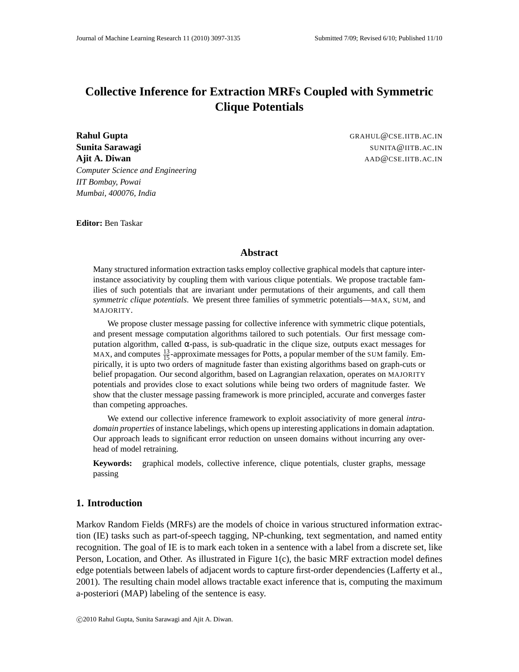# **Collective Inference for Extraction MRFs Coupled with Symmetric Clique Potentials**

**Rahul Gupta** GRAHUL@CSE.IITB.AC.IN **Sunita Sarawagi** Sunita Sarawagi Sunita Sarawagi Sunita Sarawagi Sunita Sarawagi Sunita Sarawagi Sunita Sarawagi **Ajit A. Diwan AAD@CSE.IITB.AC.IN** *Computer Science and Engineering IIT Bombay, Powai Mumbai, 400076, India*

**Editor:** Ben Taskar

### **Abstract**

Many structured information extraction tasks employ collective graphical models that capture interinstance associativity by coupling them with various clique potentials. We propose tractable families of such potentials that are invariant under permutations of their arguments, and call them *symmetric clique potentials*. We present three families of symmetric potentials—MAX, SUM, and MAJORITY.

We propose cluster message passing for collective inference with symmetric clique potentials, and present message computation algorithms tailored to such potentials. Our first message computation algorithm, called α-pass, is sub-quadratic in the clique size, outputs exact messages for MAX, and computes  $\frac{13}{15}$ -approximate messages for Potts, a popular member of the SUM family. Empirically, it is upto two orders of magnitude faster than existing algorithms based on graph-cuts or belief propagation. Our second algorithm, based on Lagrangian relaxation, operates on MAJORITY potentials and provides close to exact solutions while being two orders of magnitude faster. We show that the cluster message passing framework is more principled, accurate and converges faster than competing approaches.

We extend our collective inference framework to exploit associativity of more general *intradomain properties* of instance labelings, which opens up interesting applications in domain adaptation. Our approach leads to significant error reduction on unseen domains without incurring any overhead of model retraining.

**Keywords:** graphical models, collective inference, clique potentials, cluster graphs, message passing

# **1. Introduction**

Markov Random Fields (MRFs) are the models of choice in various structured information extraction (IE) tasks such as part-of-speech tagging, NP-chunking, text segmentation, and named entity recognition. The goal of IE is to mark each token in a sentence with a label from a discrete set, like Person, Location, and Other. As illustrated in Figure 1(c), the basic MRF extraction model defines edge potentials between labels of adjacent words to capture first-order dependencies (Lafferty et al., 2001). The resulting chain model allows tractable exact inference that is, computing the maximum a-posteriori (MAP) labeling of the sentence is easy.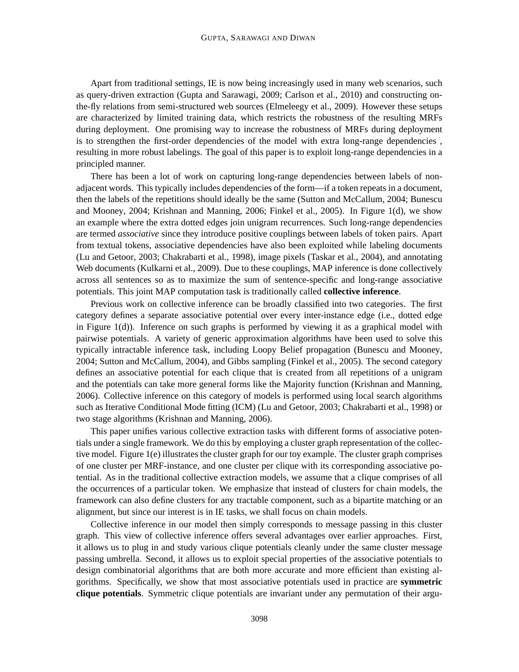Apart from traditional settings, IE is now being increasingly used in many web scenarios, such as query-driven extraction (Gupta and Sarawagi, 2009; Carlson et al., 2010) and constructing onthe-fly relations from semi-structured web sources (Elmeleegy et al., 2009). However these setups are characterized by limited training data, which restricts the robustness of the resulting MRFs during deployment. One promising way to increase the robustness of MRFs during deployment is to strengthen the first-order dependencies of the model with extra long-range dependencies , resulting in more robust labelings. The goal of this paper is to exploit long-range dependencies in a principled manner.

There has been a lot of work on capturing long-range dependencies between labels of nonadjacent words. This typically includes dependencies of the form—if a token repeats in a document, then the labels of the repetitions should ideally be the same (Sutton and McCallum, 2004; Bunescu and Mooney, 2004; Krishnan and Manning, 2006; Finkel et al., 2005). In Figure 1(d), we show an example where the extra dotted edges join unigram recurrences. Such long-range dependencies are termed *associative* since they introduce positive couplings between labels of token pairs. Apart from textual tokens, associative dependencies have also been exploited while labeling documents (Lu and Getoor, 2003; Chakrabarti et al., 1998), image pixels (Taskar et al., 2004), and annotating Web documents (Kulkarni et al., 2009). Due to these couplings, MAP inference is done collectively across all sentences so as to maximize the sum of sentence-specific and long-range associative potentials. This joint MAP computation task is traditionally called **collective inference**.

Previous work on collective inference can be broadly classified into two categories. The first category defines a separate associative potential over every inter-instance edge (i.e., dotted edge in Figure 1(d)). Inference on such graphs is performed by viewing it as a graphical model with pairwise potentials. A variety of generic approximation algorithms have been used to solve this typically intractable inference task, including Loopy Belief propagation (Bunescu and Mooney, 2004; Sutton and McCallum, 2004), and Gibbs sampling (Finkel et al., 2005). The second category defines an associative potential for each clique that is created from all repetitions of a unigram and the potentials can take more general forms like the Majority function (Krishnan and Manning, 2006). Collective inference on this category of models is performed using local search algorithms such as Iterative Conditional Mode fitting (ICM) (Lu and Getoor, 2003; Chakrabarti et al., 1998) or two stage algorithms (Krishnan and Manning, 2006).

This paper unifies various collective extraction tasks with different forms of associative potentials under a single framework. We do this by employing a cluster graph representation of the collective model. Figure 1(e) illustrates the cluster graph for our toy example. The cluster graph comprises of one cluster per MRF-instance, and one cluster per clique with its corresponding associative potential. As in the traditional collective extraction models, we assume that a clique comprises of all the occurrences of a particular token. We emphasize that instead of clusters for chain models, the framework can also define clusters for any tractable component, such as a bipartite matching or an alignment, but since our interest is in IE tasks, we shall focus on chain models.

Collective inference in our model then simply corresponds to message passing in this cluster graph. This view of collective inference offers several advantages over earlier approaches. First, it allows us to plug in and study various clique potentials cleanly under the same cluster message passing umbrella. Second, it allows us to exploit special properties of the associative potentials to design combinatorial algorithms that are both more accurate and more efficient than existing algorithms. Specifically, we show that most associative potentials used in practice are **symmetric clique potentials**. Symmetric clique potentials are invariant under any permutation of their argu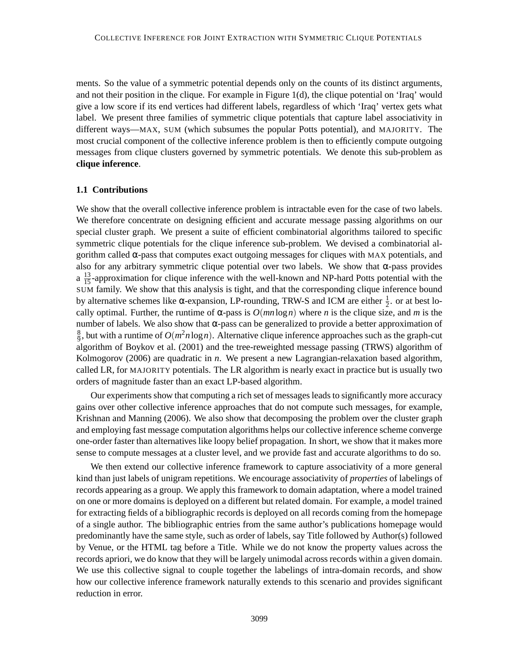ments. So the value of a symmetric potential depends only on the counts of its distinct arguments, and not their position in the clique. For example in Figure  $1(d)$ , the clique potential on 'Iraq' would give a low score if its end vertices had different labels, regardless of which 'Iraq' vertex gets what label. We present three families of symmetric clique potentials that capture label associativity in different ways—MAX, SUM (which subsumes the popular Potts potential), and MAJORITY. The most crucial component of the collective inference problem is then to efficiently compute outgoing messages from clique clusters governed by symmetric potentials. We denote this sub-problem as **clique inference**.

#### **1.1 Contributions**

We show that the overall collective inference problem is intractable even for the case of two labels. We therefore concentrate on designing efficient and accurate message passing algorithms on our special cluster graph. We present a suite of efficient combinatorial algorithms tailored to specific symmetric clique potentials for the clique inference sub-problem. We devised a combinatorial algorithm called  $\alpha$ -pass that computes exact outgoing messages for cliques with MAX potentials, and also for any arbitrary symmetric clique potential over two labels. We show that α-pass provides a  $\frac{13}{15}$ -approximation for clique inference with the well-known and NP-hard Potts potential with the SUM family. We show that this analysis is tight, and that the corresponding clique inference bound by alternative schemes like  $\alpha$ -expansion, LP-rounding, TRW-S and ICM are either  $\frac{1}{2}$ . or at best locally optimal. Further, the runtime of  $\alpha$ -pass is  $O(mn \log n)$  where *n* is the clique size, and *m* is the number of labels. We also show that α-pass can be generalized to provide a better approximation of 8  $\frac{8}{9}$ , but with a runtime of  $O(m^2n\log n)$ . Alternative clique inference approaches such as the graph-cut algorithm of Boykov et al. (2001) and the tree-reweighted message passing (TRWS) algorithm of Kolmogorov (2006) are quadratic in *n*. We present a new Lagrangian-relaxation based algorithm, called LR, for MAJORITY potentials. The LR algorithm is nearly exact in practice but is usually two orders of magnitude faster than an exact LP-based algorithm.

Our experiments show that computing a rich set of messages leads to significantly more accuracy gains over other collective inference approaches that do not compute such messages, for example, Krishnan and Manning (2006). We also show that decomposing the problem over the cluster graph and employing fast message computation algorithms helps our collective inference scheme converge one-order faster than alternatives like loopy belief propagation. In short, we show that it makes more sense to compute messages at a cluster level, and we provide fast and accurate algorithms to do so.

We then extend our collective inference framework to capture associativity of a more general kind than just labels of unigram repetitions. We encourage associativity of *properties* of labelings of records appearing as a group. We apply this framework to domain adaptation, where a model trained on one or more domains is deployed on a different but related domain. For example, a model trained for extracting fields of a bibliographic records is deployed on all records coming from the homepage of a single author. The bibliographic entries from the same author's publications homepage would predominantly have the same style, such as order of labels, say Title followed by Author(s) followed by Venue, or the HTML tag before a Title. While we do not know the property values across the records apriori, we do know that they will be largely unimodal across records within a given domain. We use this collective signal to couple together the labelings of intra-domain records, and show how our collective inference framework naturally extends to this scenario and provides significant reduction in error.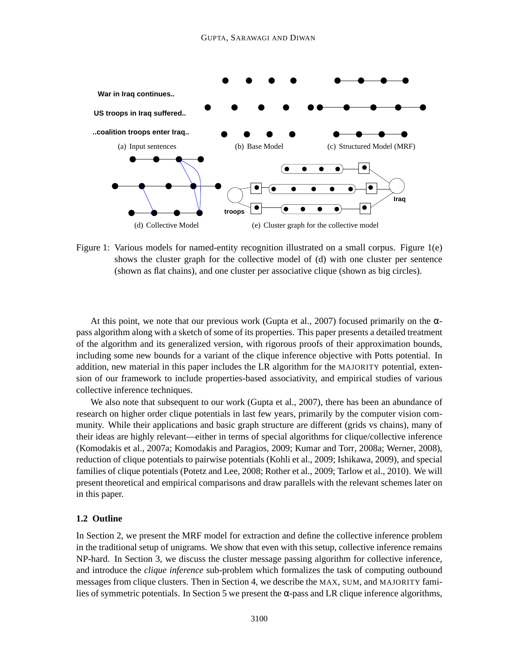

Figure 1: Various models for named-entity recognition illustrated on a small corpus. Figure 1(e) shows the cluster graph for the collective model of (d) with one cluster per sentence (shown as flat chains), and one cluster per associative clique (shown as big circles).

At this point, we note that our previous work (Gupta et al., 2007) focused primarily on the  $\alpha$ pass algorithm along with a sketch of some of its properties. This paper presents a detailed treatment of the algorithm and its generalized version, with rigorous proofs of their approximation bounds, including some new bounds for a variant of the clique inference objective with Potts potential. In addition, new material in this paper includes the LR algorithm for the MAJORITY potential, extension of our framework to include properties-based associativity, and empirical studies of various collective inference techniques.

We also note that subsequent to our work (Gupta et al., 2007), there has been an abundance of research on higher order clique potentials in last few years, primarily by the computer vision community. While their applications and basic graph structure are different (grids vs chains), many of their ideas are highly relevant—either in terms of special algorithms for clique/collective inference (Komodakis et al., 2007a; Komodakis and Paragios, 2009; Kumar and Torr, 2008a; Werner, 2008), reduction of clique potentials to pairwise potentials (Kohli et al., 2009; Ishikawa, 2009), and special families of clique potentials (Potetz and Lee, 2008; Rother et al., 2009; Tarlow et al., 2010). We will present theoretical and empirical comparisons and draw parallels with the relevant schemes later on in this paper.

### **1.2 Outline**

In Section 2, we present the MRF model for extraction and define the collective inference problem in the traditional setup of unigrams. We show that even with this setup, collective inference remains NP-hard. In Section 3, we discuss the cluster message passing algorithm for collective inference, and introduce the *clique inference* sub-problem which formalizes the task of computing outbound messages from clique clusters. Then in Section 4, we describe the MAX, SUM, and MAJORITY families of symmetric potentials. In Section 5 we present the  $\alpha$ -pass and LR clique inference algorithms,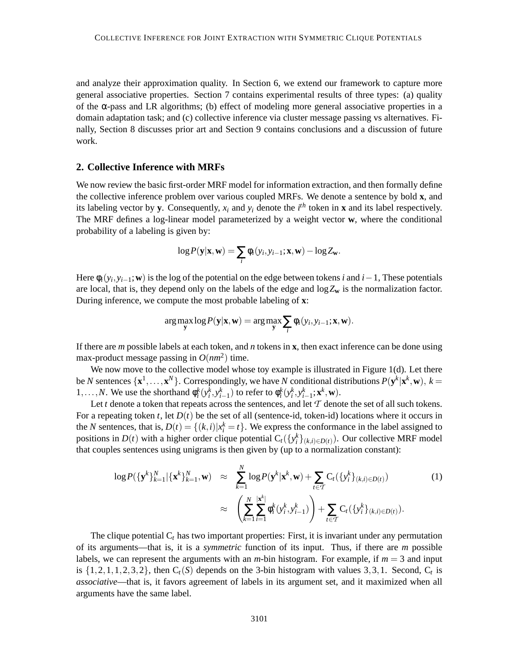and analyze their approximation quality. In Section 6, we extend our framework to capture more general associative properties. Section 7 contains experimental results of three types: (a) quality of the  $\alpha$ -pass and LR algorithms; (b) effect of modeling more general associative properties in a domain adaptation task; and (c) collective inference via cluster message passing vs alternatives. Finally, Section 8 discusses prior art and Section 9 contains conclusions and a discussion of future work.

# **2. Collective Inference with MRFs**

We now review the basic first-order MRF model for information extraction, and then formally define the collective inference problem over various coupled MRFs. We denote a sentence by bold **x**, and its labeling vector by **y**. Consequently,  $x_i$  and  $y_i$  denote the  $i^{th}$  token in **x** and its label respectively. The MRF defines a log-linear model parameterized by a weight vector **w**, where the conditional probability of a labeling is given by:

$$
\log P(\mathbf{y}|\mathbf{x},\mathbf{w}) = \sum_{i} \phi_i(y_i, y_{i-1}; \mathbf{x}, \mathbf{w}) - \log Z_{\mathbf{w}}.
$$

Here  $\phi_i(y_i, y_{i-1}; \mathbf{w})$  is the log of the potential on the edge between tokens *i* and *i* − 1, These potentials are local, that is, they depend only on the labels of the edge and  $\log Z_w$  is the normalization factor. During inference, we compute the most probable labeling of **x**:

$$
\arg\max_{\mathbf{y}} \log P(\mathbf{y}|\mathbf{x}, \mathbf{w}) = \arg\max_{\mathbf{y}} \sum_{i} \phi_i(y_i, y_{i-1}; \mathbf{x}, \mathbf{w}).
$$

If there are *m* possible labels at each token, and *n* tokens in **x**, then exact inference can be done using max-product message passing in  $O(nm^2)$  time.

We now move to the collective model whose toy example is illustrated in Figure  $1(d)$ . Let there be *N* sentences  $\{\mathbf{x}^1, \dots, \mathbf{x}^N\}$ . Correspondingly, we have *N* conditional distributions  $P(\mathbf{y}^k | \mathbf{x}^k, \mathbf{w}), k =$ 1,..., *N*. We use the shorthand  $\phi_i^k(y_i^k, y_{i-1}^k)$  to refer to  $\phi_i^k(y_i^k, y_{i-1}^k; \mathbf{x}^k, \mathbf{w})$ .

Let *t* denote a token that repeats across the sentences, and let  $\mathcal T$  denote the set of all such tokens. For a repeating token  $t$ , let  $D(t)$  be the set of all (sentence-id, token-id) locations where it occurs in the *N* sentences, that is,  $D(t) = \{(k, i) | x_i^k = t\}$ . We express the conformance in the label assigned to positions in  $D(t)$  with a higher order clique potential  $C_t({y_i^k}_{k,i) \in D(t)}$ . Our collective MRF model that couples sentences using unigrams is then given by (up to a normalization constant):

$$
\log P(\{\mathbf{y}^{k}\}_{k=1}^{N}|\{\mathbf{x}^{k}\}_{k=1}^{N},\mathbf{w}) \approx \sum_{k=1}^{N} \log P(\mathbf{y}^{k}|\mathbf{x}^{k},\mathbf{w}) + \sum_{t \in \mathcal{T}} \mathbf{C}_{t}(\{y_{i}^{k}\}_{(k,i) \in D(t)})
$$
(1)  

$$
\approx \left(\sum_{k=1}^{N} \sum_{i=1}^{|\mathbf{x}^{k}|} \phi_{i}^{k}(y_{i}^{k},y_{i-1}^{k})\right) + \sum_{t \in \mathcal{T}} \mathbf{C}_{t}(\{y_{i}^{k}\}_{(k,i) \in D(t)}).
$$

The clique potential  $C_t$  has two important properties: First, it is invariant under any permutation of its arguments—that is, it is a *symmetric* function of its input. Thus, if there are *m* possible labels, we can represent the arguments with an  $m$ -bin histogram. For example, if  $m = 3$  and input is  $\{1,2,1,1,2,3,2\}$ , then  $C_t(S)$  depends on the 3-bin histogram with values 3,3,1. Second,  $C_t$  is *associative*—that is, it favors agreement of labels in its argument set, and it maximized when all arguments have the same label.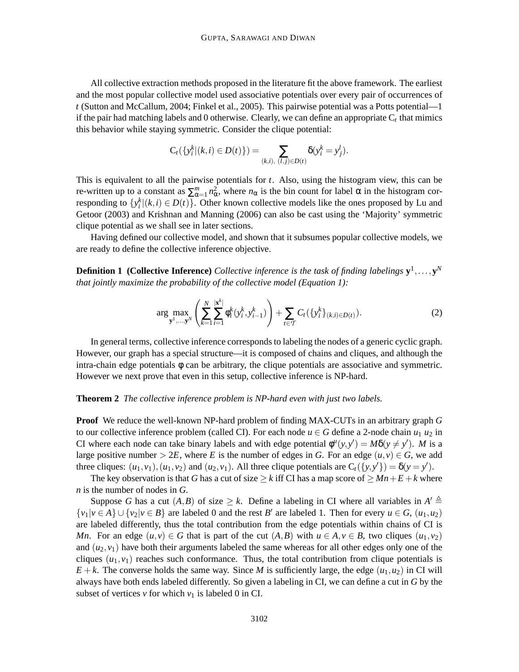All collective extraction methods proposed in the literature fit the above framework. The earliest and the most popular collective model used associative potentials over every pair of occurrences of *t* (Sutton and McCallum, 2004; Finkel et al., 2005). This pairwise potential was a Potts potential—1 if the pair had matching labels and  $0$  otherwise. Clearly, we can define an appropriate  $C_t$  that mimics this behavior while staying symmetric. Consider the clique potential:

$$
C_t(\{y_i^k | (k,i) \in D(t)\}) = \sum_{(k,i), (l,j) \in D(t)} \delta(y_i^k = y_j^l).
$$

This is equivalent to all the pairwise potentials for *t*. Also, using the histogram view, this can be re-written up to a constant as  $\sum_{\alpha=1}^{m} n_{\alpha}^2$ , where  $n_{\alpha}$  is the bin count for label  $\alpha$  in the histogram corresponding to  $\{y_i^k | (k, i) \in D(t)\}$ . Other known collective models like the ones proposed by Lu and Getoor (2003) and Krishnan and Manning (2006) can also be cast using the 'Majority' symmetric clique potential as we shall see in later sections.

Having defined our collective model, and shown that it subsumes popular collective models, we are ready to define the collective inference objective.

**Definition 1** (Collective Inference) *Collective inference is the task of finding labelings*  $\mathbf{y}^1, \ldots, \mathbf{y}^N$ *that jointly maximize the probability of the collective model (Equation 1):*

$$
\arg \max_{\mathbf{y}^1, \dots, \mathbf{y}^N} \left( \sum_{k=1}^N \sum_{i=1}^{|\mathbf{x}^k|} \phi_i^k(y_i^k, y_{i-1}^k) \right) + \sum_{t \in \mathcal{T}} C_t(\{y_i^k\}_{(k,i) \in D(t)}).
$$
 (2)

In general terms, collective inference corresponds to labeling the nodes of a generic cyclic graph. However, our graph has a special structure—it is composed of chains and cliques, and although the intra-chain edge potentials φ can be arbitrary, the clique potentials are associative and symmetric. However we next prove that even in this setup, collective inference is NP-hard.

#### **Theorem 2** *The collective inference problem is NP-hard even with just two labels.*

**Proof** We reduce the well-known NP-hard problem of finding MAX-CUTs in an arbitrary graph *G* to our collective inference problem (called CI). For each node  $u \in G$  define a 2-node chain  $u_1 u_2$  in CI where each node can take binary labels and with edge potential  $\phi^u(y, y') = M\delta(y \neq y')$ . *M* is a large positive number  $> 2E$ , where E is the number of edges in G. For an edge  $(u, v) \in G$ , we add three cliques:  $(u_1, v_1), (u_1, v_2)$  and  $(u_2, v_1)$ . All three clique potentials are  $C_t({y, y'}) = \delta(y = y')$ .

The key observation is that *G* has a cut of size  $\geq k$  iff CI has a map score of  $\geq Mn + E + k$  where *n* is the number of nodes in *G*.

Suppose *G* has a cut  $(A, B)$  of size  $\geq k$ . Define a labeling in CI where all variables in  $A' \triangleq$  $\{v_1 | v \in A\} \cup \{v_2 | v \in B\}$  are labeled 0 and the rest *B*' are labeled 1. Then for every  $u \in G$ ,  $(u_1, u_2)$ are labeled differently, thus the total contribution from the edge potentials within chains of CI is *Mn*. For an edge  $(u, v) \in G$  that is part of the cut  $(A, B)$  with  $u \in A, v \in B$ , two cliques  $(u_1, v_2)$ and  $(u_2, v_1)$  have both their arguments labeled the same whereas for all other edges only one of the cliques  $(u_1, v_1)$  reaches such conformance. Thus, the total contribution from clique potentials is  $E + k$ . The converse holds the same way. Since *M* is sufficiently large, the edge  $(u_1, u_2)$  in CI will always have both ends labeled differently. So given a labeling in CI, we can define a cut in *G* by the subset of vertices  $\nu$  for which  $\nu_1$  is labeled 0 in CI.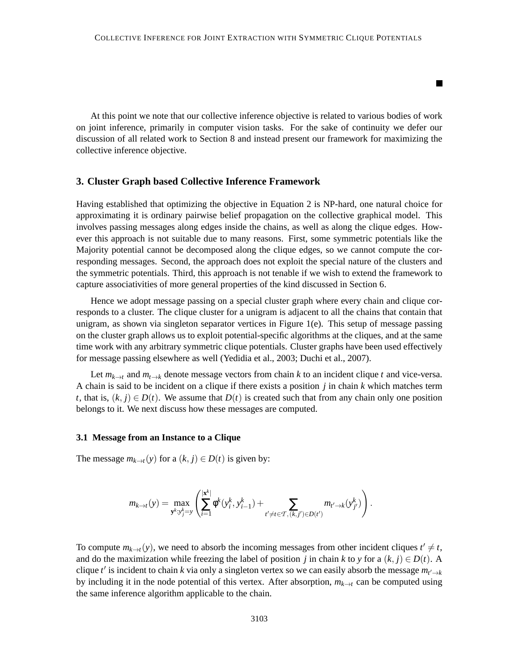At this point we note that our collective inference objective is related to various bodies of work on joint inference, primarily in computer vision tasks. For the sake of continuity we defer our discussion of all related work to Section 8 and instead present our framework for maximizing the collective inference objective.

 $\blacksquare$ 

# **3. Cluster Graph based Collective Inference Framework**

Having established that optimizing the objective in Equation 2 is NP-hard, one natural choice for approximating it is ordinary pairwise belief propagation on the collective graphical model. This involves passing messages along edges inside the chains, as well as along the clique edges. However this approach is not suitable due to many reasons. First, some symmetric potentials like the Majority potential cannot be decomposed along the clique edges, so we cannot compute the corresponding messages. Second, the approach does not exploit the special nature of the clusters and the symmetric potentials. Third, this approach is not tenable if we wish to extend the framework to capture associativities of more general properties of the kind discussed in Section 6.

Hence we adopt message passing on a special cluster graph where every chain and clique corresponds to a cluster. The clique cluster for a unigram is adjacent to all the chains that contain that unigram, as shown via singleton separator vertices in Figure 1(e). This setup of message passing on the cluster graph allows us to exploit potential-specific algorithms at the cliques, and at the same time work with any arbitrary symmetric clique potentials. Cluster graphs have been used effectively for message passing elsewhere as well (Yedidia et al., 2003; Duchi et al., 2007).

Let  $m_{k\to t}$  and  $m_{t\to k}$  denote message vectors from chain *k* to an incident clique *t* and vice-versa. A chain is said to be incident on a clique if there exists a position *j* in chain *k* which matches term *t*, that is,  $(k, j) \in D(t)$ . We assume that  $D(t)$  is created such that from any chain only one position belongs to it. We next discuss how these messages are computed.

## **3.1 Message from an Instance to a Clique**

The message  $m_{k\to t}(y)$  for a  $(k, j) \in D(t)$  is given by:

$$
m_{k\to t}(y) = \max_{\mathbf{y}^k : y_j^k = y} \left( \sum_{i=1}^{|\mathbf{x}^k|} \phi^k(y_i^k, y_{i-1}^k) + \sum_{t' \neq t \in T, (k, j') \in D(t')} m_{t' \to k}(y_{j'}^k) \right).
$$

To compute  $m_{k\to t}(y)$ , we need to absorb the incoming messages from other incident cliques  $t' \neq t$ , and do the maximization while freezing the label of position *j* in chain *k* to *y* for a  $(k, j) \in D(t)$ . A clique *t'* is incident to chain *k* via only a singleton vertex so we can easily absorb the message  $m_{t' \to k}$ by including it in the node potential of this vertex. After absorption,  $m_{k\to t}$  can be computed using the same inference algorithm applicable to the chain.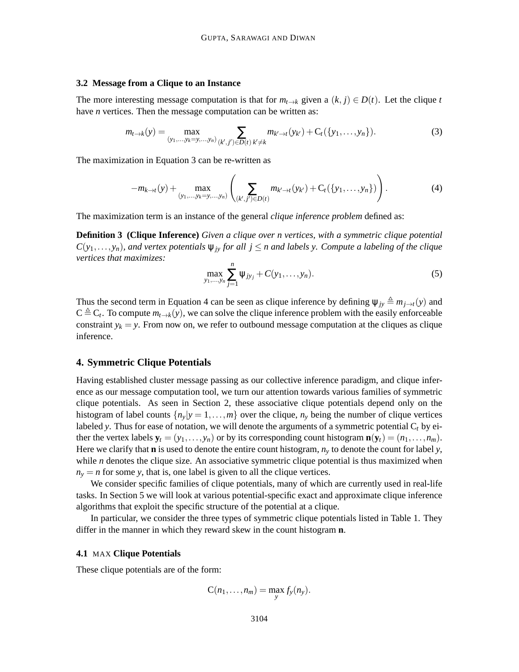### **3.2 Message from a Clique to an Instance**

The more interesting message computation is that for  $m_{t\to k}$  given a  $(k, j) \in D(t)$ . Let the clique *t* have *n* vertices. Then the message computation can be written as:

$$
m_{t\to k}(y) = \max_{(y_1,\ldots,y_k=y,\ldots,y_n)} \sum_{(k',j')\in D(t)} m_{k'\to t}(y_{k'}) + C_t(\{y_1,\ldots,y_n\}).
$$
\n(3)

The maximization in Equation 3 can be re-written as

$$
-m_{k\to t}(y) + \max_{(y_1,...,y_k=y,...,y_n)} \left( \sum_{(k',j')\in D(t)} m_{k'\to t}(y_{k'}) + C_t(\{y_1,...,y_n\}) \right). \tag{4}
$$

The maximization term is an instance of the general *clique inference problem* defined as:

**Definition 3 (Clique Inference)** *Given a clique over n vertices, with a symmetric clique potential*  $C(y_1,..., y_n)$ *, and vertex potentials*  $\Psi_{jy}$  *for all*  $j \leq n$  *and labels y. Compute a labeling of the clique vertices that maximizes:*

$$
\max_{y_1,\ldots,y_n} \sum_{j=1}^n \Psi_{jy_j} + C(y_1,\ldots,y_n). \tag{5}
$$

Thus the second term in Equation 4 can be seen as clique inference by defining  $\psi_{jy} \triangleq m_{j\to t}(y)$  and  $C \triangleq C_t$ . To compute  $m_{t\to k}(y)$ , we can solve the clique inference problem with the easily enforceable constraint  $y_k = y$ . From now on, we refer to outbound message computation at the cliques as clique inference.

### **4. Symmetric Clique Potentials**

Having established cluster message passing as our collective inference paradigm, and clique inference as our message computation tool, we turn our attention towards various families of symmetric clique potentials. As seen in Section 2, these associative clique potentials depend only on the histogram of label counts  $\{n_y|y = 1, \ldots, m\}$  over the clique,  $n_y$  being the number of clique vertices labeled *y*. Thus for ease of notation, we will denote the arguments of a symmetric potential  $C_t$  by either the vertex labels  $\mathbf{y}_t = (y_1, \dots, y_n)$  or by its corresponding count histogram  $\mathbf{n}(\mathbf{y}_t) = (n_1, \dots, n_m)$ . Here we clarify that **n** is used to denote the entire count histogram,  $n<sub>y</sub>$  to denote the count for label *y*, while *n* denotes the clique size. An associative symmetric clique potential is thus maximized when  $n<sub>y</sub> = n$  for some *y*, that is, one label is given to all the clique vertices.

We consider specific families of clique potentials, many of which are currently used in real-life tasks. In Section 5 we will look at various potential-specific exact and approximate clique inference algorithms that exploit the specific structure of the potential at a clique.

In particular, we consider the three types of symmetric clique potentials listed in Table 1. They differ in the manner in which they reward skew in the count histogram **n**.

#### **4.1** MAX **Clique Potentials**

These clique potentials are of the form:

$$
C(n_1,\ldots,n_m)=\max_{y}f_y(n_y).
$$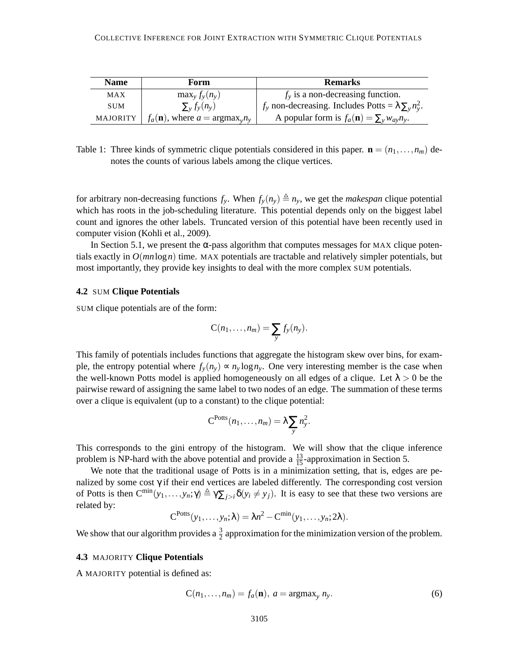### COLLECTIVE INFERENCE FOR JOINT EXTRACTION WITH SYMMETRIC CLIQUE POTENTIALS

| <b>Name</b> | Form                                                  | <b>Remarks</b>                                                    |
|-------------|-------------------------------------------------------|-------------------------------------------------------------------|
| MAX         | $\max_{y} f_{y}(n_{y})$                               | $f_y$ is a non-decreasing function.                               |
| <b>SUM</b>  | $\sum_{\rm v} f_{\rm v}(n_{\rm v})$                   | $f_v$ non-decreasing. Includes Potts = $\lambda \sum_{v} n_v^2$ . |
| MAJORITY    | $f_a(\mathbf{n})$ , where $a = \text{argmax}_{v} n_v$ | A popular form is $f_a(\mathbf{n}) = \sum_{y} w_{ay} n_y$ .       |

Table 1: Three kinds of symmetric clique potentials considered in this paper.  $\mathbf{n} = (n_1, \ldots, n_m)$  denotes the counts of various labels among the clique vertices.

for arbitrary non-decreasing functions  $f_y$ . When  $f_y(n_y) \triangleq n_y$ , we get the *makespan* clique potential which has roots in the job-scheduling literature. This potential depends only on the biggest label count and ignores the other labels. Truncated version of this potential have been recently used in computer vision (Kohli et al., 2009).

In Section 5.1, we present the α-pass algorithm that computes messages for MAX clique potentials exactly in *O*(*mn*log*n*) time. MAX potentials are tractable and relatively simpler potentials, but most importantly, they provide key insights to deal with the more complex SUM potentials.

#### **4.2** SUM **Clique Potentials**

SUM clique potentials are of the form:

$$
C(n_1,\ldots,n_m)=\sum_{y}f_y(n_y).
$$

This family of potentials includes functions that aggregate the histogram skew over bins, for example, the entropy potential where  $f_y(n_y) \propto n_y \log n_y$ . One very interesting member is the case when the well-known Potts model is applied homogeneously on all edges of a clique. Let  $\lambda > 0$  be the pairwise reward of assigning the same label to two nodes of an edge. The summation of these terms over a clique is equivalent (up to a constant) to the clique potential:

$$
C^{Potts}(n_1,\ldots,n_m)=\lambda\sum_{y}n_y^2.
$$

This corresponds to the gini entropy of the histogram. We will show that the clique inference problem is NP-hard with the above potential and provide a  $\frac{13}{15}$ -approximation in Section 5.

We note that the traditional usage of Potts is in a minimization setting, that is, edges are penalized by some cost γ if their end vertices are labeled differently. The corresponding cost version of Potts is then  $C^{\min}(y_1,..., y_n; \gamma) \triangleq \gamma \sum_{i>i} \delta(y_i \neq y_i)$ . It is easy to see that these two versions are related by:

$$
C^{Potts}(y_1,\ldots,y_n;\lambda)=\lambda n^2-C^{min}(y_1,\ldots,y_n;2\lambda).
$$

We show that our algorithm provides a  $\frac{3}{2}$  approximation for the minimization version of the problem.

#### **4.3** MAJORITY **Clique Potentials**

A MAJORITY potential is defined as:

$$
C(n_1, \dots, n_m) = f_a(\mathbf{n}), \ a = \operatorname{argmax}_y n_y. \tag{6}
$$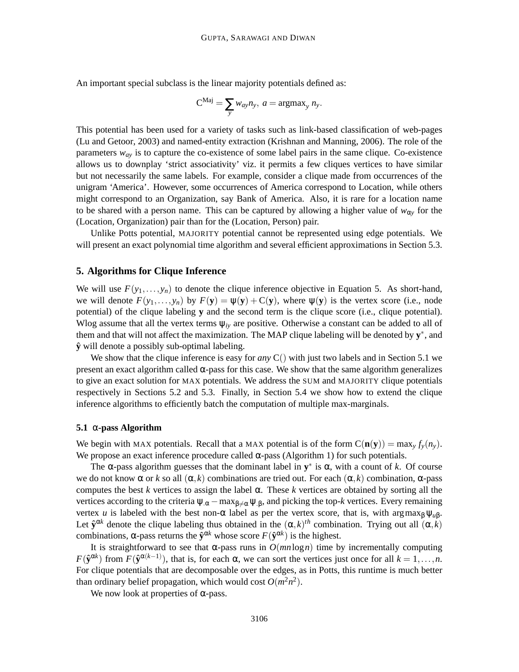An important special subclass is the linear majority potentials defined as:

$$
C^{Maj} = \sum_{y} w_{ay} n_y, \ a = \argmax_{y} n_y.
$$

This potential has been used for a variety of tasks such as link-based classification of web-pages (Lu and Getoor, 2003) and named-entity extraction (Krishnan and Manning, 2006). The role of the parameters  $w_{av}$  is to capture the co-existence of some label pairs in the same clique. Co-existence allows us to downplay 'strict associativity' viz. it permits a few cliques vertices to have similar but not necessarily the same labels. For example, consider a clique made from occurrences of the unigram 'America'. However, some occurrences of America correspond to Location, while others might correspond to an Organization, say Bank of America. Also, it is rare for a location name to be shared with a person name. This can be captured by allowing a higher value of  $w_{\alpha y}$  for the (Location, Organization) pair than for the (Location, Person) pair.

Unlike Potts potential, MAJORITY potential cannot be represented using edge potentials. We will present an exact polynomial time algorithm and several efficient approximations in Section 5.3.

### **5. Algorithms for Clique Inference**

We will use  $F(y_1,..., y_n)$  to denote the clique inference objective in Equation 5. As short-hand, we will denote  $F(y_1,..., y_n)$  by  $F(y) = \psi(y) + C(y)$ , where  $\psi(y)$  is the vertex score (i.e., node potential) of the clique labeling **y** and the second term is the clique score (i.e., clique potential). Wlog assume that all the vertex terms ψ*iy* are positive. Otherwise a constant can be added to all of them and that will not affect the maximization. The MAP clique labeling will be denoted by **y** ∗ , and **y**ˆ will denote a possibly sub-optimal labeling.

We show that the clique inference is easy for *any* C() with just two labels and in Section 5.1 we present an exact algorithm called  $\alpha$ -pass for this case. We show that the same algorithm generalizes to give an exact solution for MAX potentials. We address the SUM and MAJORITY clique potentials respectively in Sections 5.2 and 5.3. Finally, in Section 5.4 we show how to extend the clique inference algorithms to efficiently batch the computation of multiple max-marginals.

#### **5.1** α**-pass Algorithm**

We begin with MAX potentials. Recall that a MAX potential is of the form  $C(\mathbf{n}(\mathbf{y})) = \max_{y} f_{y}(n_{y})$ . We propose an exact inference procedure called  $\alpha$ -pass (Algorithm 1) for such potentials.

The  $\alpha$ -pass algorithm guesses that the dominant label in  $y^*$  is  $\alpha$ , with a count of *k*. Of course we do not know  $\alpha$  or k so all  $(\alpha, k)$  combinations are tried out. For each  $(\alpha, k)$  combination,  $\alpha$ -pass computes the best  $k$  vertices to assign the label  $\alpha$ . These  $k$  vertices are obtained by sorting all the vertices according to the criteria  $\psi_{\alpha}$  – max<sub> $\beta \neq \alpha \psi_{\beta}$ , and picking the top-*k* vertices. Every remaining</sub> vertex *u* is labeled with the best non-α label as per the vertex score, that is, with argmax<sub>β</sub> $ψ<sub>u</sub>β$ . Let  $\hat{\mathbf{y}}^{\alpha k}$  denote the clique labeling thus obtained in the  $(\alpha, k)^{th}$  combination. Trying out all  $(\alpha, k)$ combinations,  $\alpha$ -pass returns the  $\hat{\mathbf{y}}^{\alpha k}$  whose score  $F(\hat{\mathbf{y}}^{\alpha k})$  is the highest.

It is straightforward to see that  $\alpha$ -pass runs in  $O(mn \log n)$  time by incrementally computing  $F(\hat{\mathbf{y}}^{\alpha(k)})$  from  $F(\hat{\mathbf{y}}^{\alpha(k-1)})$ , that is, for each  $\alpha$ , we can sort the vertices just once for all  $k = 1, ..., n$ . For clique potentials that are decomposable over the edges, as in Potts, this runtime is much better than ordinary belief propagation, which would cost  $O(m^2n^2)$ .

We now look at properties of  $\alpha$ -pass.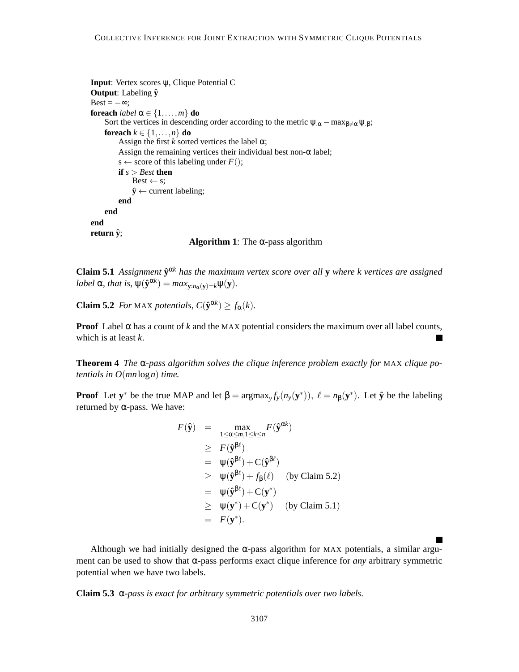```
Input: Vertex scores ψ, Clique Potential C
Output: Labeling \hat{y}Best = -\infty;foreach label \alpha \in \{1, \ldots, m\} do
     Sort the vertices in descending order according to the metric \psi_{\alpha} – max_{\beta \neq \alpha} \psi_{\beta};
     foreach k \in \{1, \ldots, n\} do
          Assign the first k sorted vertices the label \alpha;
          Assign the remaining vertices their individual best non-\alpha label;
          s \leftarrow score of this labeling under F();
          if s > Best then
               Best \leftarrow s;
               \hat{\mathbf{y}} \leftarrow current labeling;
          end
     end
end
return yˆ;
```
**Algorithm 1**: The  $\alpha$ -pass algorithm

**Claim 5.1** *Assignment*  $\hat{y}^{\alpha k}$  *has the maximum vertex score over all* **y** *where k vertices are assigned*  $label \alpha$ *, that is,*  $\psi(\hat{\mathbf{y}}^{\alpha k}) = max_{\mathbf{y}:n_{\alpha}(\mathbf{y})=k} \psi(\mathbf{y})$ *.* 

**Claim 5.2** *For* MAX *potentials,*  $C(\hat{\mathbf{y}}^{\alpha k}) \ge f_{\alpha}(k)$ *.* 

**Proof** Label  $\alpha$  has a count of *k* and the MAX potential considers the maximum over all label counts, which is at least *k*. **I** 

**Theorem 4** *The* α*-pass algorithm solves the clique inference problem exactly for* MAX *clique potentials in O*(*mn*log*n*) *time.*

**Proof** Let  $y^*$  be the true MAP and let  $\beta = \argmax_y f_y(n_y(y^*)), \ell = n_\beta(y^*)$ . Let  $\hat{y}$  be the labeling returned by α-pass. We have:

$$
F(\hat{\mathbf{y}}) = \max_{1 \leq \alpha \leq m, 1 \leq k \leq n} F(\hat{\mathbf{y}}^{\alpha k})
$$
  
\n
$$
\geq F(\hat{\mathbf{y}}^{\beta \ell})
$$
  
\n
$$
= \psi(\hat{\mathbf{y}}^{\beta \ell}) + C(\hat{\mathbf{y}}^{\beta \ell})
$$
  
\n
$$
\geq \psi(\hat{\mathbf{y}}^{\beta \ell}) + f_{\beta}(\ell) \quad \text{(by Claim 5.2)}
$$
  
\n
$$
= \psi(\hat{\mathbf{y}}^{\beta \ell}) + C(\mathbf{y}^*)
$$
  
\n
$$
\geq \psi(\mathbf{y}^*) + C(\mathbf{y}^*) \quad \text{(by Claim 5.1)}
$$
  
\n
$$
= F(\mathbf{y}^*).
$$

Although we had initially designed the  $\alpha$ -pass algorithm for MAX potentials, a similar argument can be used to show that α-pass performs exact clique inference for *any* arbitrary symmetric potential when we have two labels.

**Claim 5.3** α*-pass is exact for arbitrary symmetric potentials over two labels.*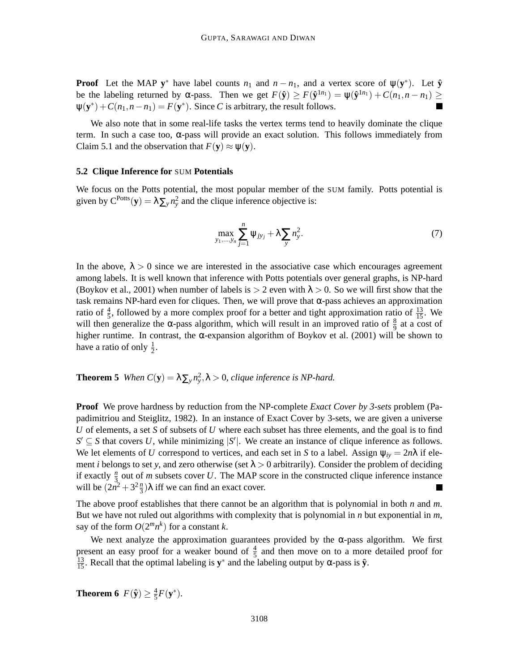**Proof** Let the MAP **y**<sup>\*</sup> have label counts  $n_1$  and  $n - n_1$ , and a vertex score of  $\psi(\mathbf{y}^*)$ . Let  $\hat{\mathbf{y}}$ be the labeling returned by  $\alpha$ -pass. Then we get  $F(\hat{y}) \ge F(\hat{y}^{1n_1}) = \psi(\hat{y}^{1n_1}) + C(n_1, n - n_1) \ge$  $\Psi(\mathbf{y}^*) + C(n_1, n - n_1) = F(\mathbf{y}^*)$ . Since *C* is arbitrary, the result follows.

We also note that in some real-life tasks the vertex terms tend to heavily dominate the clique term. In such a case too,  $\alpha$ -pass will provide an exact solution. This follows immediately from Claim 5.1 and the observation that  $F(y) \approx \psi(y)$ .

#### **5.2 Clique Inference for** SUM **Potentials**

We focus on the Potts potential, the most popular member of the SUM family. Potts potential is given by  $C^{Potts}(\mathbf{y}) = \lambda \sum_{y} n_y^2$  and the clique inference objective is:

$$
\max_{y_1, \dots, y_n} \sum_{j=1}^n \Psi_{jy_j} + \lambda \sum_{y} n_y^2.
$$
 (7)

In the above,  $\lambda > 0$  since we are interested in the associative case which encourages agreement among labels. It is well known that inference with Potts potentials over general graphs, is NP-hard (Boykov et al., 2001) when number of labels is  $> 2$  even with  $\lambda > 0$ . So we will first show that the task remains NP-hard even for cliques. Then, we will prove that  $\alpha$ -pass achieves an approximation ratio of  $\frac{4}{5}$ , followed by a more complex proof for a better and tight approximation ratio of  $\frac{13}{15}$ . We will then generalize the  $\alpha$ -pass algorithm, which will result in an improved ratio of  $\frac{8}{9}$  at a cost of higher runtime. In contrast, the α-expansion algorithm of Boykov et al. (2001) will be shown to have a ratio of only  $\frac{1}{2}$ .

**Theorem 5** *When*  $C(y) = \lambda \sum_{y} n_{y}^{2}, \lambda > 0$ , clique inference is NP-hard.

**Proof** We prove hardness by reduction from the NP-complete *Exact Cover by 3-sets* problem (Papadimitriou and Steiglitz, 1982). In an instance of Exact Cover by 3-sets, we are given a universe *U* of elements, a set *S* of subsets of *U* where each subset has three elements, and the goal is to find  $S' \subseteq S$  that covers *U*, while minimizing  $|S'|$ . We create an instance of clique inference as follows. We let elements of *U* correspond to vertices, and each set in *S* to a label. Assign  $\psi_{iv} = 2n\lambda$  if element *i* belongs to set *y*, and zero otherwise (set  $\lambda > 0$  arbitrarily). Consider the problem of deciding if exactly  $\frac{n}{3}$  out of *m* subsets cover *U*. The MAP score in the constructed clique inference instance will be  $(2n^2 + 3^2 \frac{n}{3})\lambda$  iff we can find an exact cover.

The above proof establishes that there cannot be an algorithm that is polynomial in both *n* and *m*. But we have not ruled out algorithms with complexity that is polynomial in *n* but exponential in *m*, say of the form  $O(2^m n^k)$  for a constant *k*.

We next analyze the approximation guarantees provided by the  $\alpha$ -pass algorithm. We first present an easy proof for a weaker bound of  $\frac{4}{5}$  and then move on to a more detailed proof for <sup>13</sup>/<sub>15</sub>. Recall that the optimal labeling is **y**<sup>∗</sup> and the labeling output by α-pass is **ŷ**.

**Theorem 6**  $F(\hat{\mathbf{y}}) \geq \frac{4}{5}$  $\frac{4}{5}F({\bf y}^*)$ .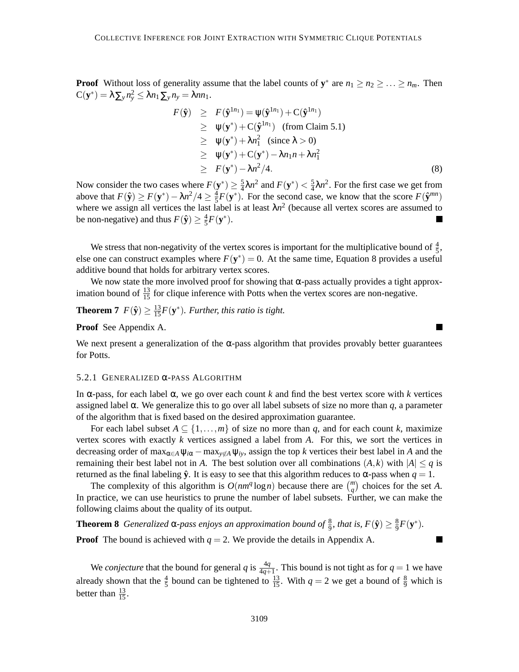**Proof** Without loss of generality assume that the label counts of  $y^*$  are  $n_1 \ge n_2 \ge \ldots \ge n_m$ . Then  $C(\mathbf{y}^*) = \lambda \sum_{y} n_y^2 \leq \lambda n_1 \sum_{y} n_y = \lambda n n_1.$ 

$$
F(\hat{\mathbf{y}}) \geq F(\hat{\mathbf{y}}^{1n_1}) = \psi(\hat{\mathbf{y}}^{1n_1}) + C(\hat{\mathbf{y}}^{1n_1})
$$
  
\n
$$
\geq \psi(\mathbf{y}^*) + C(\hat{\mathbf{y}}^{1n_1}) \text{ (from Claim 5.1)}
$$
  
\n
$$
\geq \psi(\mathbf{y}^*) + \lambda n_1^2 \text{ (since } \lambda > 0)
$$
  
\n
$$
\geq \psi(\mathbf{y}^*) + C(\mathbf{y}^*) - \lambda n_1 n + \lambda n_1^2
$$
  
\n
$$
\geq F(\mathbf{y}^*) - \lambda n^2/4.
$$
 (8)

۰

Now consider the two cases where  $F(y^*) \geq \frac{5}{4}$  $\frac{5}{4}$ λ*n*<sup>2</sup> and *F*(**y**<sup>\*</sup>) <  $\frac{5}{4}$  $\frac{5}{4}\lambda n^2$ . For the first case we get from above that  $F(\hat{\mathbf{y}}) \ge F(\mathbf{y}^*) - \lambda n^2/4 \ge \frac{4}{5}$  $\frac{4}{5}F(\mathbf{y}^*)$ . For the second case, we know that the score  $F(\hat{\mathbf{y}}^{mn})$ where we assign all vertices the last label is at least  $\lambda n^2$  (because all vertex scores are assumed to be non-negative) and thus  $F(\hat{\mathbf{y}}) \ge \frac{4}{5}$  $\frac{4}{5}F({\bf y}^*)$ .

We stress that non-negativity of the vertex scores is important for the multiplicative bound of  $\frac{4}{5}$ , else one can construct examples where  $F(y^*) = 0$ . At the same time, Equation 8 provides a useful additive bound that holds for arbitrary vertex scores.

We now state the more involved proof for showing that  $\alpha$ -pass actually provides a tight approximation bound of  $\frac{13}{15}$  for clique inference with Potts when the vertex scores are non-negative.

**Theorem 7**  $F(\hat{\mathbf{y}}) \geq \frac{13}{15}F(\mathbf{y}^*)$ *. Further, this ratio is tight.* 

**Proof** See Appendix A.

We next present a generalization of the  $\alpha$ -pass algorithm that provides provably better guarantees for Potts.

#### 5.2.1 GENERALIZED α-PASS ALGORITHM

In α-pass, for each label α, we go over each count *k* and find the best vertex score with *k* vertices assigned label  $\alpha$ . We generalize this to go over all label subsets of size no more than *q*, a parameter of the algorithm that is fixed based on the desired approximation guarantee.

For each label subset  $A \subseteq \{1, \ldots, m\}$  of size no more than q, and for each count k, maximize vertex scores with exactly *k* vertices assigned a label from *A*. For this, we sort the vertices in decreasing order of max<sub> $\alpha \in A$ </sub>  $\psi_{i\alpha}$  – max<sub>y</sub> $\notin A$   $\psi_{i\gamma}$ , assign the top *k* vertices their best label in *A* and the remaining their best label not in *A*. The best solution over all combinations  $(A, k)$  with  $|A| \leq q$  is returned as the final labeling  $\hat{y}$ . It is easy to see that this algorithm reduces to α-pass when  $q = 1$ .

The complexity of this algorithm is  $O(nm^q \log n)$  because there are  $\binom{m}{q}$  choices for the set *A*. In practice, we can use heuristics to prune the number of label subsets. Further, we can make the following claims about the quality of its output.

**Theorem 8** *Generalized*  $\alpha$ -pass enjoys an approximation bound of  $\frac{8}{9}$ , that is,  $F(\hat{y}) \ge \frac{8}{9}$  $\frac{8}{9}F(\mathbf{y}^*)$ .

**Proof** The bound is achieved with *q* = 2. We provide the details in Appendix A.

We *conjecture* that the bound for general *q* is  $\frac{4q}{4q+1}$ . This bound is not tight as for  $q = 1$  we have already shown that the  $\frac{4}{5}$  bound can be tightened to  $\frac{13}{15}$ . With  $q = 2$  we get a bound of  $\frac{8}{9}$  which is better than  $\frac{13}{15}$ .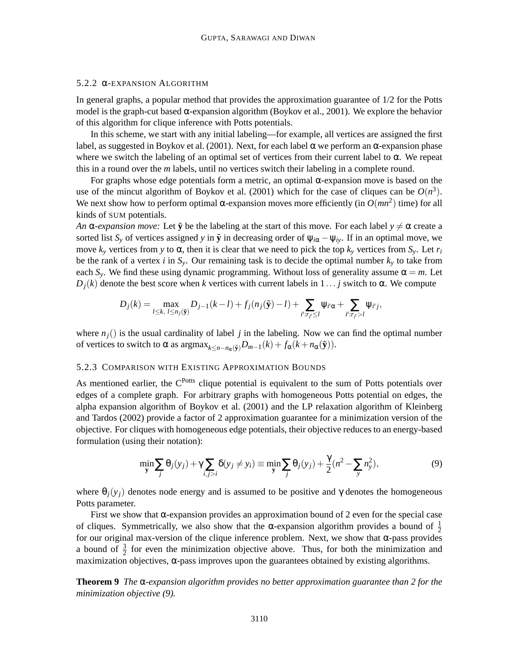## 5.2.2 α-EXPANSION ALGORITHM

In general graphs, a popular method that provides the approximation guarantee of 1/2 for the Potts model is the graph-cut based  $\alpha$ -expansion algorithm (Boykov et al., 2001). We explore the behavior of this algorithm for clique inference with Potts potentials.

In this scheme, we start with any initial labeling—for example, all vertices are assigned the first label, as suggested in Boykov et al. (2001). Next, for each label  $\alpha$  we perform an α-expansion phase where we switch the labeling of an optimal set of vertices from their current label to  $\alpha$ . We repeat this in a round over the *m* labels, until no vertices switch their labeling in a complete round.

For graphs whose edge potentials form a metric, an optimal α-expansion move is based on the use of the mincut algorithm of Boykov et al. (2001) which for the case of cliques can be  $O(n^3)$ . We next show how to perform optimal  $\alpha$ -expansion moves more efficiently (in  $O(mn^2)$  time) for all kinds of SUM potentials.

*An*  $\alpha$ -*expansion move:* Let  $\tilde{y}$  be the labeling at the start of this move. For each label  $y \neq \alpha$  create a sorted list  $S_y$  of vertices assigned *y* in  $\tilde{y}$  in decreasing order of  $\psi_{i\alpha} - \psi_{i\gamma}$ . If in an optimal move, we move  $k_y$  vertices from *y* to α, then it is clear that we need to pick the top  $k_y$  vertices from  $S_y$ . Let  $r_i$ be the rank of a vertex *i* in  $S_y$ . Our remaining task is to decide the optimal number  $k_y$  to take from each  $S_y$ . We find these using dynamic programming. Without loss of generality assume  $\alpha = m$ . Let  $D_j(k)$  denote the best score when *k* vertices with current labels in 1... *j* switch to  $\alpha$ . We compute

$$
D_j(k) = \max_{l \leq k, l \leq n_j(\tilde{\mathbf{y}})} D_{j-1}(k-l) + f_j(n_j(\tilde{\mathbf{y}})-l) + \sum_{i': r_{i'} \leq l} \psi_{i'\alpha} + \sum_{i': r_{i'} > l} \psi_{i'j},
$$

where  $n_j$ () is the usual cardinality of label *j* in the labeling. Now we can find the optimal number of vertices to switch to  $\alpha$  as  $\arg \max_{k \leq n-n_{\alpha}(\tilde{\mathbf{v}})} D_{m-1}(k) + f_{\alpha}(k+n_{\alpha}(\tilde{\mathbf{y}})).$ 

#### 5.2.3 COMPARISON WITH EXISTING APPROXIMATION BOUNDS

As mentioned earlier, the  $C<sup>Potts</sup>$  clique potential is equivalent to the sum of Potts potentials over edges of a complete graph. For arbitrary graphs with homogeneous Potts potential on edges, the alpha expansion algorithm of Boykov et al. (2001) and the LP relaxation algorithm of Kleinberg and Tardos (2002) provide a factor of 2 approximation guarantee for a minimization version of the objective. For cliques with homogeneous edge potentials, their objective reduces to an energy-based formulation (using their notation):

$$
\min_{\mathbf{y}} \sum_{j} \theta_j(y_j) + \gamma \sum_{i,j>i} \delta(y_j \neq y_i) \equiv \min_{\mathbf{y}} \sum_{j} \theta_j(y_j) + \frac{\gamma}{2} (n^2 - \sum_{y} n_y^2), \tag{9}
$$

where  $\theta_j(y_j)$  denotes node energy and is assumed to be positive and  $\gamma$  denotes the homogeneous Potts parameter.

First we show that  $\alpha$ -expansion provides an approximation bound of 2 even for the special case of cliques. Symmetrically, we also show that the  $\alpha$ -expansion algorithm provides a bound of  $\frac{1}{2}$ for our original max-version of the clique inference problem. Next, we show that α-pass provides a bound of  $\frac{3}{2}$  for even the minimization objective above. Thus, for both the minimization and maximization objectives,  $\alpha$ -pass improves upon the guarantees obtained by existing algorithms.

**Theorem 9** *The* α*-expansion algorithm provides no better approximation guarantee than 2 for the minimization objective (9).*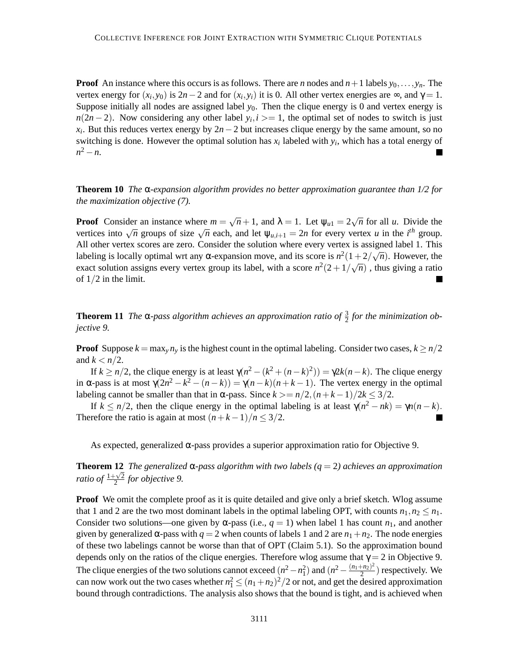**Proof** An instance where this occurs is as follows. There are *n* nodes and  $n+1$  labels  $y_0, \ldots, y_n$ . The vertex energy for  $(x_i, y_0)$  is  $2n-2$  and for  $(x_i, y_i)$  it is 0. All other vertex energies are  $\infty$ , and  $\gamma = 1$ . Suppose initially all nodes are assigned label  $y_0$ . Then the clique energy is 0 and vertex energy is  $n(2n-2)$ . Now considering any other label  $y_i$ ,  $i \geq 1$ , the optimal set of nodes to switch is just *x*<sup>*i*</sup>. But this reduces vertex energy by 2*n*−2 but increases clique energy by the same amount, so no switching is done. However the optimal solution has *x<sup>i</sup>* labeled with *y<sup>i</sup>* , which has a total energy of *n* <sup>2</sup> <sup>−</sup>*n*.

**Theorem 10** *The* α*-expansion algorithm provides no better approximation guarantee than 1/2 for the maximization objective (7).*

**Proof** Consider an instance where  $m = \sqrt{n} + 1$ , and  $\lambda = 1$ . Let  $\psi_{u_1} = 2\sqrt{n}$  for all *u*. Divide the vertices into  $\sqrt{n}$  groups of size  $\sqrt{n}$  each, and let  $\psi_{u,i+1} = 2n$  for every vertex *u* in the *i*<sup>th</sup> group. All other vertex scores are zero. Consider the solution where every vertex is assigned label 1. This labeling is locally optimal wrt any  $\alpha$ -expansion move, and its score is  $n^2(1+2/\sqrt{n})$ . However, the exact solution assigns every vertex group its label, with a score  $n^2(2+1/\sqrt{n})$ , thus giving a ratio of 1/2 in the limit.

**Theorem 11** The  $\alpha$ -pass algorithm achieves an approximation ratio of  $\frac{3}{2}$  for the minimization ob*jective 9.*

**Proof** Suppose  $k = \max_{y} n_y$  is the highest count in the optimal labeling. Consider two cases,  $k \ge n/2$ and  $k < n/2$ .

If *k* ≥ *n*/2, the clique energy is at least  $γ(n^2 - (k^2 + (n - k)^2)) = γ2k(n - k)$ . The clique energy in  $\alpha$ -pass is at most  $\gamma(2n^2 - k^2 - (n - k)) = \gamma(n - k)(n + k - 1)$ . The vertex energy in the optimal labeling cannot be smaller than that in  $\alpha$ -pass. Since  $k \geq n/2$ ,  $(n+k-1)/2k \leq 3/2$ .

If  $k \leq n/2$ , then the clique energy in the optimal labeling is at least  $\gamma(n^2 - nk) = \gamma n(n - k)$ . Therefore the ratio is again at most  $(n+k-1)/n \leq 3/2$ .

As expected, generalized  $\alpha$ -pass provides a superior approximation ratio for Objective 9.

**Theorem 12** *The generalized* α*-pass algorithm with two labels (q = 2) achieves an approximation ratio of*  $\frac{1+\sqrt{2}}{2}$  $\frac{1}{2}$  for objective 9.

**Proof** We omit the complete proof as it is quite detailed and give only a brief sketch. Wlog assume that 1 and 2 are the two most dominant labels in the optimal labeling OPT, with counts  $n_1, n_2 \leq n_1$ . Consider two solutions—one given by  $\alpha$ -pass (i.e.,  $q = 1$ ) when label 1 has count  $n_1$ , and another given by generalized  $\alpha$ -pass with  $q = 2$  when counts of labels 1 and 2 are  $n_1 + n_2$ . The node energies of these two labelings cannot be worse than that of OPT (Claim 5.1). So the approximation bound depends only on the ratios of the clique energies. Therefore wlog assume that  $\gamma = 2$  in Objective 9. The clique energies of the two solutions cannot exceed  $(n^2 - n_1^2)$  and  $(n^2 - \frac{(n_1 + n_2)^2}{2})$  $\frac{+n_2-}{2}$ ) respectively. We can now work out the two cases whether  $n_1^2 \le (n_1 + n_2)^2/2$  or not, and get the desired approximation bound through contradictions. The analysis also shows that the bound is tight, and is achieved when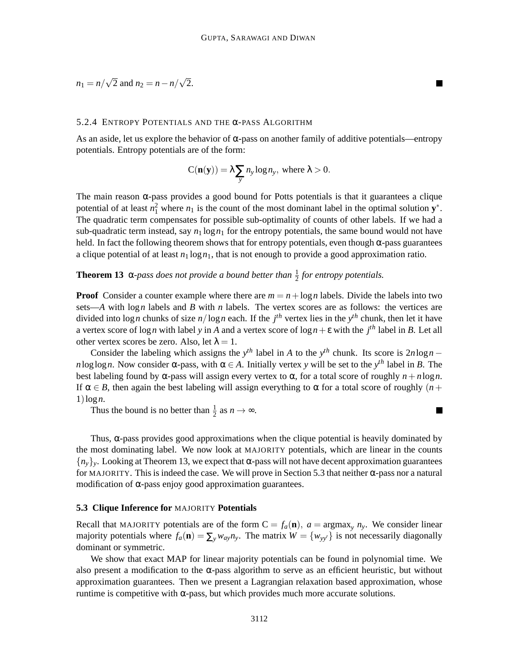**In the Second** 

 $\blacksquare$ 

$$
n_1 = n/\sqrt{2}
$$
 and  $n_2 = n - n/\sqrt{2}$ .

# 5.2.4 ENTROPY POTENTIALS AND THE α-PASS ALGORITHM

As an aside, let us explore the behavior of  $\alpha$ -pass on another family of additive potentials—entropy potentials. Entropy potentials are of the form:

$$
C(\mathbf{n}(\mathbf{y})) = \lambda \sum_{y} n_y \log n_y, \text{ where } \lambda > 0.
$$

The main reason  $\alpha$ -pass provides a good bound for Potts potentials is that it guarantees a clique potential of at least  $n_1^2$  where  $n_1$  is the count of the most dominant label in the optimal solution  $y^*$ . The quadratic term compensates for possible sub-optimality of counts of other labels. If we had a sub-quadratic term instead, say  $n_1 \log n_1$  for the entropy potentials, the same bound would not have held. In fact the following theorem shows that for entropy potentials, even though  $\alpha$ -pass guarantees a clique potential of at least  $n_1 \log n_1$ , that is not enough to provide a good approximation ratio.

**Theorem 13**  $\alpha$ -pass does not provide a bound better than  $\frac{1}{2}$  for entropy potentials.

**Proof** Consider a counter example where there are  $m = n + \log n$  labels. Divide the labels into two sets—*A* with log*n* labels and *B* with *n* labels. The vertex scores are as follows: the vertices are divided into log*n* chunks of size *n*/log*n* each. If the *j th* vertex lies in the *y th* chunk, then let it have a vertex score of log *n* with label *y* in *A* and a vertex score of log  $n + \varepsilon$  with the  $j<sup>th</sup>$  label in *B*. Let all other vertex scores be zero. Also, let  $\lambda = 1$ .

Consider the labeling which assigns the *y*<sup>th</sup> label in *A* to the *y*<sup>th</sup> chunk. Its score is  $2n \log n$ *n*loglog*n*. Now consider  $\alpha$ -pass, with  $\alpha \in A$ . Initially vertex *y* will be set to the *y*<sup>th</sup> label in *B*. The best labeling found by α-pass will assign every vertex to α, for a total score of roughly *n*+*n*log*n*. If  $\alpha \in B$ , then again the best labeling will assign everything to  $\alpha$  for a total score of roughly  $(n +$ 1)log*n*.

Thus the bound is no better than  $\frac{1}{2}$  as  $n \to \infty$ .

Thus,  $\alpha$ -pass provides good approximations when the clique potential is heavily dominated by the most dominating label. We now look at MAJORITY potentials, which are linear in the counts  ${n_y}$ *y*. Looking at Theorem 13, we expect that  $\alpha$ -pass will not have decent approximation guarantees for MAJORITY. This is indeed the case. We will prove in Section 5.3 that neither α-pass nor a natural modification of  $\alpha$ -pass enjoy good approximation guarantees.

#### **5.3 Clique Inference for** MAJORITY **Potentials**

Recall that MAJORITY potentials are of the form  $C = f_a(\mathbf{n})$ ,  $a = \text{argmax}_y n_y$ . We consider linear majority potentials where  $f_a(\mathbf{n}) = \sum_{y} w_{a} p_y$ . The matrix  $W = \{w_{yy'}\}$  is not necessarily diagonally dominant or symmetric.

We show that exact MAP for linear majority potentials can be found in polynomial time. We also present a modification to the  $\alpha$ -pass algorithm to serve as an efficient heuristic, but without approximation guarantees. Then we present a Lagrangian relaxation based approximation, whose runtime is competitive with α-pass, but which provides much more accurate solutions.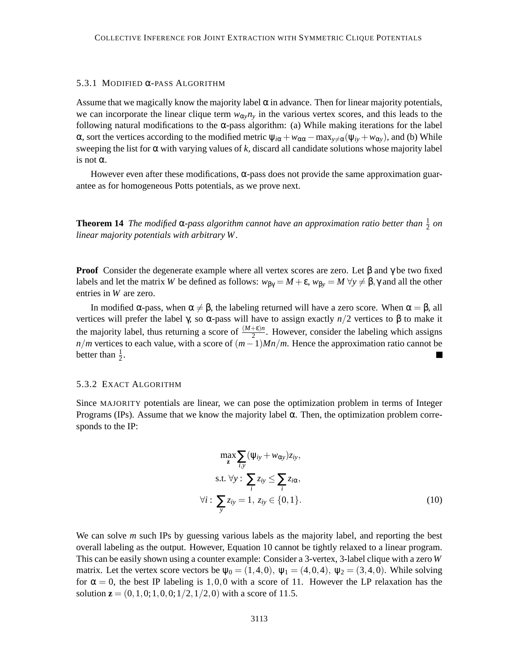# 5.3.1 MODIFIED α-PASS ALGORITHM

Assume that we magically know the majority label  $\alpha$  in advance. Then for linear majority potentials, we can incorporate the linear clique term  $w_{\alpha y} n_y$  in the various vertex scores, and this leads to the following natural modifications to the  $\alpha$ -pass algorithm: (a) While making iterations for the label α, sort the vertices according to the modified metric  $ψ<sub>iα</sub> + w<sub>αα</sub> - max<sub>γ≠α</sub>(ψ<sub>iγ</sub> + w<sub>αγ</sub>)$ , and (b) While sweeping the list for  $\alpha$  with varying values of  $k$ , discard all candidate solutions whose majority label is not  $\alpha$ .

However even after these modifications, α-pass does not provide the same approximation guarantee as for homogeneous Potts potentials, as we prove next.

**Theorem 14** The modified  $\alpha$ -pass algorithm cannot have an approximation ratio better than  $\frac{1}{2}$  on *linear majority potentials with arbitrary W.*

**Proof** Consider the degenerate example where all vertex scores are zero. Let  $\beta$  and  $\gamma$  be two fixed labels and let the matrix *W* be defined as follows:  $w_{\beta\gamma} = M + \varepsilon$ ,  $w_{\beta\gamma} = M \,\forall y \neq \beta$ ,  $\gamma$  and all the other entries in *W* are zero.

In modified  $\alpha$ -pass, when  $\alpha \neq \beta$ , the labeling returned will have a zero score. When  $\alpha = \beta$ , all vertices will prefer the label γ, so α-pass will have to assign exactly *n*/2 vertices to β to make it the majority label, thus returning a score of  $\frac{(M+\epsilon)n}{2}$ . However, consider the labeling which assigns *n*/*m* vertices to each value, with a score of  $(m-1)Mn/m$ . Hence the approximation ratio cannot be better than  $\frac{1}{2}$ .

#### 5.3.2 EXACT ALGORITHM

Since MAJORITY potentials are linear, we can pose the optimization problem in terms of Integer Programs (IPs). Assume that we know the majority label  $\alpha$ . Then, the optimization problem corresponds to the IP:

$$
\max_{\mathbf{z}} \sum_{i,y} (\psi_{iy} + w_{\alpha y}) z_{iy},
$$
  
s.t.  $\forall y : \sum_{i} z_{iy} \le \sum_{i} z_{i\alpha},$   

$$
\forall i : \sum_{y} z_{iy} = 1, z_{iy} \in \{0, 1\}.
$$
 (10)

We can solve *m* such IPs by guessing various labels as the majority label, and reporting the best overall labeling as the output. However, Equation 10 cannot be tightly relaxed to a linear program. This can be easily shown using a counter example: Consider a 3-vertex, 3-label clique with a zero *W* matrix. Let the vertex score vectors be  $\psi_0 = (1,4,0)$ ,  $\psi_1 = (4,0,4)$ ,  $\psi_2 = (3,4,0)$ . While solving for  $\alpha = 0$ , the best IP labeling is 1,0,0 with a score of 11. However the LP relaxation has the solution  $z = (0, 1, 0, 1, 0, 0, 1/2, 1/2, 0)$  with a score of 11.5.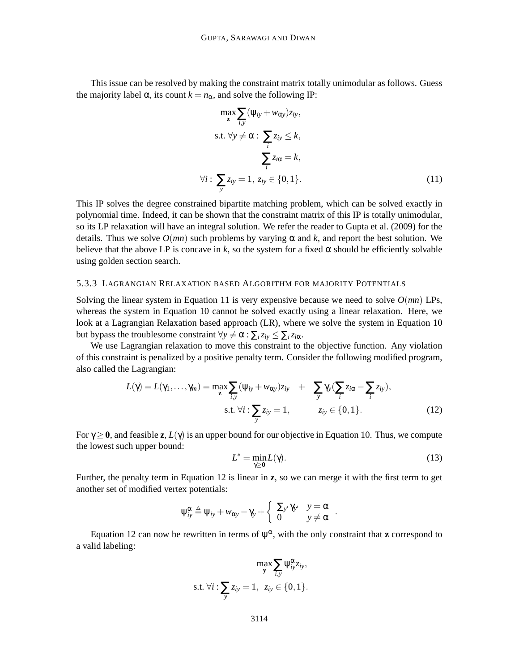This issue can be resolved by making the constraint matrix totally unimodular as follows. Guess the majority label  $\alpha$ , its count  $k = n_{\alpha}$ , and solve the following IP:

$$
\max_{\mathbf{z}} \sum_{i,y} (\psi_{iy} + w_{\alpha y}) z_{iy},
$$
  
s.t.  $\forall y \neq \alpha : \sum_{i} z_{iy} \leq k,$   

$$
\sum_{i} z_{i\alpha} = k,
$$
  

$$
\forall i : \sum_{y} z_{iy} = 1, z_{iy} \in \{0, 1\}.
$$
 (11)

This IP solves the degree constrained bipartite matching problem, which can be solved exactly in polynomial time. Indeed, it can be shown that the constraint matrix of this IP is totally unimodular, so its LP relaxation will have an integral solution. We refer the reader to Gupta et al. (2009) for the details. Thus we solve  $O(mn)$  such problems by varying  $\alpha$  and k, and report the best solution. We believe that the above LP is concave in  $k$ , so the system for a fixed  $\alpha$  should be efficiently solvable using golden section search.

#### 5.3.3 LAGRANGIAN RELAXATION BASED ALGORITHM FOR MAJORITY POTENTIALS

Solving the linear system in Equation 11 is very expensive because we need to solve  $O(mn)$  LPs, whereas the system in Equation 10 cannot be solved exactly using a linear relaxation. Here, we look at a Lagrangian Relaxation based approach (LR), where we solve the system in Equation 10 but bypass the troublesome constraint  $\forall y \neq \alpha : \sum_i z_{iy} \leq \sum_i z_{i\alpha}$ .

We use Lagrangian relaxation to move this constraint to the objective function. Any violation of this constraint is penalized by a positive penalty term. Consider the following modified program, also called the Lagrangian:

$$
L(\gamma) = L(\gamma_1, ..., \gamma_m) = \max_{\mathbf{z}} \sum_{i, y} (\psi_{iy} + w_{\alpha y}) z_{iy} + \sum_{y} \gamma_y (\sum_i z_{i\alpha} - \sum_i z_{iy}),
$$
  
s.t.  $\forall i : \sum_{y} z_{iy} = 1, \qquad z_{iy} \in \{0, 1\}.$  (12)

For  $\gamma \ge 0$ , and feasible **z**,  $L(\gamma)$  is an upper bound for our objective in Equation 10. Thus, we compute the lowest such upper bound:

$$
L^* = \min_{\gamma \ge 0} L(\gamma). \tag{13}
$$

.

Further, the penalty term in Equation 12 is linear in **z**, so we can merge it with the first term to get another set of modified vertex potentials:

$$
\Psi_{iy}^{\alpha} \triangleq \Psi_{iy} + w_{\alpha y} - \gamma_y + \begin{cases} \Sigma_{y'} \gamma_{y'} & y = \alpha \\ 0 & y \neq \alpha \end{cases}
$$

Equation 12 can now be rewritten in terms of  $\psi^{\alpha}$ , with the only constraint that **z** correspond to a valid labeling:

$$
\max_{\mathbf{y}} \sum_{i,y} \psi_{iy}^{\alpha} z_{iy},
$$
s.t.  $\forall i : \sum_{y} z_{iy} = 1, z_{iy} \in \{0, 1\}.$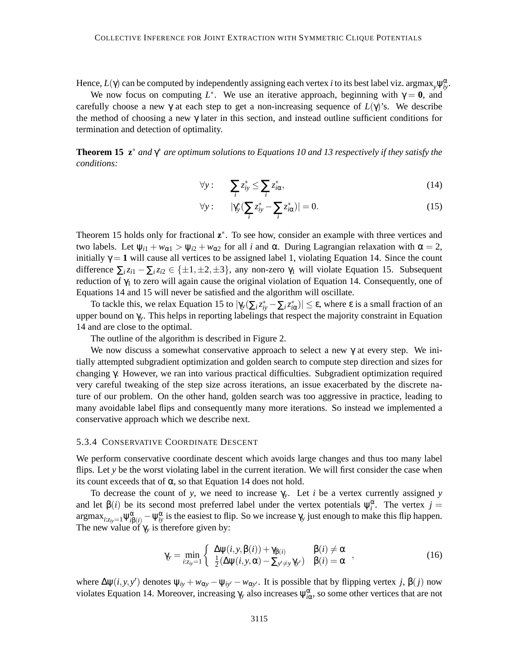Hence,  $L(\gamma)$  can be computed by independently assigning each vertex *i* to its best label viz. argmax<sub>y</sub> $\psi_{iy}^{\alpha}$ .

We now focus on computing  $L^*$ . We use an iterative approach, beginning with  $\gamma = 0$ , and carefully choose a new  $\gamma$  at each step to get a non-increasing sequence of  $L(\gamma)$ 's. We describe the method of choosing a new  $\gamma$  later in this section, and instead outline sufficient conditions for termination and detection of optimality.

**Theorem 15 z**∗ *and* γ ∗ *are optimum solutions to Equations 10 and 13 respectively if they satisfy the conditions:*

$$
\forall y: \qquad \sum_{i} z_{iy}^* \le \sum_{i} z_{i\alpha}^*, \tag{14}
$$

$$
\forall y: \qquad |\gamma_y^*(\sum_i z_{iy}^* - \sum_i z_{i\alpha}^*)| = 0. \tag{15}
$$

Theorem 15 holds only for fractional **z** ∗ . To see how, consider an example with three vertices and two labels. Let  $\psi_{i1} + w_{\alpha 1} > \psi_{i2} + w_{\alpha 2}$  for all *i* and  $\alpha$ . During Lagrangian relaxation with  $\alpha = 2$ , initially  $\gamma = 1$  will cause all vertices to be assigned label 1, violating Equation 14. Since the count difference  $\sum_i z_{i1} - \sum_i z_{i2} \in \{\pm 1, \pm 2, \pm 3\}$ , any non-zero  $\gamma_1$  will violate Equation 15. Subsequent reduction of  $\gamma_1$  to zero will again cause the original violation of Equation 14. Consequently, one of Equations 14 and 15 will never be satisfied and the algorithm will oscillate.

To tackle this, we relax Equation 15 to  $|\gamma_y(\sum_i z_{iy}^* - \sum_i z_{i\alpha}^*)| \leq \varepsilon$ , where  $\varepsilon$  is a small fraction of an upper bound on γ*y*. This helps in reporting labelings that respect the majority constraint in Equation 14 and are close to the optimal.

The outline of the algorithm is described in Figure 2.

We now discuss a somewhat conservative approach to select a new  $\gamma$  at every step. We initially attempted subgradient optimization and golden search to compute step direction and sizes for changing γ. However, we ran into various practical difficulties. Subgradient optimization required very careful tweaking of the step size across iterations, an issue exacerbated by the discrete nature of our problem. On the other hand, golden search was too aggressive in practice, leading to many avoidable label flips and consequently many more iterations. So instead we implemented a conservative approach which we describe next.

#### 5.3.4 CONSERVATIVE COORDINATE DESCENT

We perform conservative coordinate descent which avoids large changes and thus too many label flips. Let *y* be the worst violating label in the current iteration. We will first consider the case when its count exceeds that of  $\alpha$ , so that Equation 14 does not hold.

To decrease the count of *y*, we need to increase  $\gamma_v$ . Let *i* be a vertex currently assigned *y* and let  $\beta(i)$  be its second most preferred label under the vertex potentials  $\psi_i^{\alpha}$ . The vertex  $j =$  $\argmax_{i:z_{iy}=1}\psi^\alpha_{i\beta(i)}-\psi^\alpha_{iy}$  is the easiest to flip. So we increase  $\gamma_y$  just enough to make this flip happen. The new value of  $\gamma_y$  is therefore given by:

$$
\gamma_{y} = \min_{i:z_{iy}=1} \left\{ \begin{array}{ll} \Delta \psi(i, y, \beta(i)) + \gamma_{\beta(i)} & \beta(i) \neq \alpha \\ \frac{1}{2} (\Delta \psi(i, y, \alpha) - \sum_{y' \neq y} \gamma_{y'}) & \beta(i) = \alpha \end{array} \right., \tag{16}
$$

where  $\Delta \psi(i, y, y')$  denotes  $\psi_{iy} + w_{\alpha y} - \psi_{iy'} - w_{\alpha y'}$ . It is possible that by flipping vertex *j*,  $\beta(j)$  now violates Equation 14. Moreover, increasing  $\gamma_y$  also increases  $\psi_{i\alpha}^{\alpha}$ , so some other vertices that are not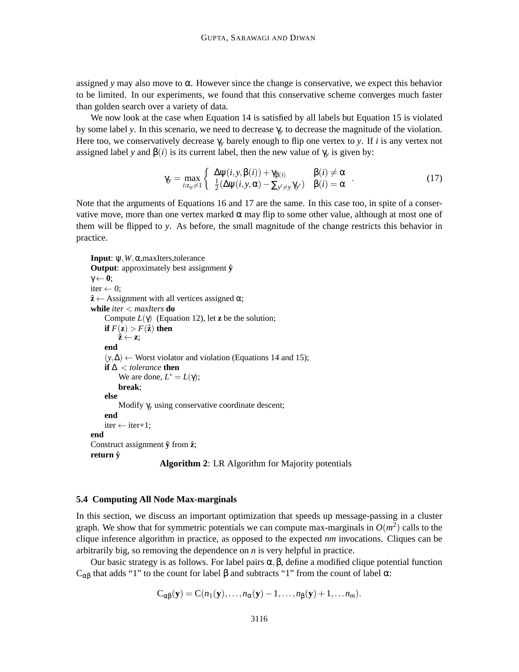assigned *y* may also move to  $\alpha$ . However since the change is conservative, we expect this behavior to be limited. In our experiments, we found that this conservative scheme converges much faster than golden search over a variety of data.

We now look at the case when Equation 14 is satisfied by all labels but Equation 15 is violated by some label *y*. In this scenario, we need to decrease  $\gamma$  to decrease the magnitude of the violation. Here too, we conservatively decrease  $\gamma$ <sub>*y*</sub> barely enough to flip one vertex to *y*. If *i* is any vertex not assigned label *y* and  $\beta(i)$  is its current label, then the new value of  $\gamma_v$  is given by:

$$
\gamma_{y} = \max_{i:z_{ij}\neq 1} \left\{ \begin{array}{ll} \Delta \psi(i, y, \beta(i)) + \gamma_{\beta(i)} & \beta(i) \neq \alpha \\ \frac{1}{2} (\Delta \psi(i, y, \alpha) - \Sigma_{y' \neq y} \gamma_{y'}) & \beta(i) = \alpha \end{array} \right. . \tag{17}
$$

Note that the arguments of Equations 16 and 17 are the same. In this case too, in spite of a conservative move, more than one vertex marked  $\alpha$  may flip to some other value, although at most one of them will be flipped to *y*. As before, the small magnitude of the change restricts this behavior in practice.

```
Input: ψ,W,α,maxIters,tolerance
Output: approximately best assignment \hat{y}γ ← 0;
iter \leftarrow 0;
\hat{z} \leftarrow Assignment with all vertices assigned \alpha;
while iter < maxIters do
     Compute L(\gamma) (Equation 12), let z be the solution;
     if F(\mathbf{z}) > F(\hat{\mathbf{z}}) then
          \hat{\mathbf{z}} \leftarrow \mathbf{z};
     end
     (y,∆) ← Worst violator and violation (Equations 14 and 15);
     if ∆ < tolerance then
          We are done, L^* = L(\gamma);
          break;
     else
          Modify γy using conservative coordinate descent;
     end
     iter \leftarrow iter+1;end
Construct assignment \hat{y} from \hat{z};
return yˆ
```

```
Algorithm 2: LR Algorithm for Majority potentials
```
# **5.4 Computing All Node Max-marginals**

In this section, we discuss an important optimization that speeds up message-passing in a cluster graph. We show that for symmetric potentials we can compute max-marginals in  $O(m^2)$  calls to the clique inference algorithm in practice, as opposed to the expected *nm* invocations. Cliques can be arbitrarily big, so removing the dependence on *n* is very helpful in practice.

Our basic strategy is as follows. For label pairs  $\alpha, \beta$ , define a modified clique potential function  $C_{\alpha\beta}$  that adds "1" to the count for label β and subtracts "1" from the count of label α:

$$
C_{\alpha\beta}(\mathbf{y})=C(n_1(\mathbf{y}),\ldots,n_\alpha(\mathbf{y})-1,\ldots,n_\beta(\mathbf{y})+1,\ldots n_m).
$$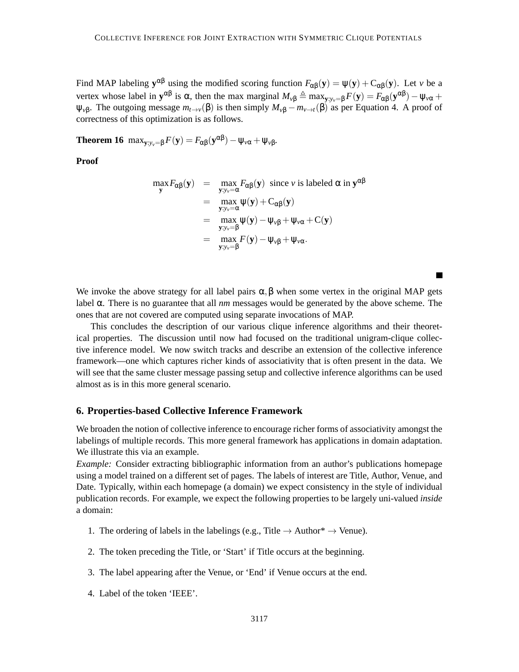Find MAP labeling  $y^{\alpha\beta}$  using the modified scoring function  $F_{\alpha\beta}(y) = \psi(y) + C_{\alpha\beta}(y)$ . Let *v* be a vertex whose label in  $\mathbf{y}^{\alpha\beta}$  is  $\alpha$ , then the max marginal  $M_{\nu\beta} \triangleq \max_{\mathbf{y}:y_{\nu}=\beta} F(\mathbf{y}) = F_{\alpha\beta}(\mathbf{y}^{\alpha\beta}) - \psi_{\nu\alpha} +$  $ψ<sub>νβ</sub>$ . The outgoing message  $m<sub>t→ν</sub>(β)$  is then simply  $M<sub>νβ</sub> - m<sub>ν→t</sub>(β)$  as per Equation 4. A proof of correctness of this optimization is as follows.

**Theorem 16**  $\max_{\mathbf{y}:y_{\nu}=\beta} F(\mathbf{y}) = F_{\alpha\beta}(\mathbf{y}^{\alpha\beta}) - \psi_{\nu\alpha} + \psi_{\nu\beta}$ .

**Proof**

$$
\max_{\mathbf{y}} F_{\alpha\beta}(\mathbf{y}) = \max_{\mathbf{y}:y_{\nu}=\alpha} F_{\alpha\beta}(\mathbf{y}) \text{ since } \nu \text{ is labeled } \alpha \text{ in } \mathbf{y}^{\alpha\beta}
$$
\n
$$
= \max_{\mathbf{y}:y_{\nu}=\alpha} \psi(\mathbf{y}) + C_{\alpha\beta}(\mathbf{y})
$$
\n
$$
= \max_{\mathbf{y}:y_{\nu}=\beta} \psi(\mathbf{y}) - \psi_{\nu\beta} + \psi_{\nu\alpha} + C(\mathbf{y})
$$
\n
$$
= \max_{\mathbf{y}:y_{\nu}=\beta} F(\mathbf{y}) - \psi_{\nu\beta} + \psi_{\nu\alpha}.
$$

We invoke the above strategy for all label pairs  $\alpha, \beta$  when some vertex in the original MAP gets label  $\alpha$ . There is no guarantee that all *nm* messages would be generated by the above scheme. The ones that are not covered are computed using separate invocations of MAP.

This concludes the description of our various clique inference algorithms and their theoretical properties. The discussion until now had focused on the traditional unigram-clique collective inference model. We now switch tracks and describe an extension of the collective inference framework—one which captures richer kinds of associativity that is often present in the data. We will see that the same cluster message passing setup and collective inference algorithms can be used almost as is in this more general scenario.

# **6. Properties-based Collective Inference Framework**

We broaden the notion of collective inference to encourage richer forms of associativity amongst the labelings of multiple records. This more general framework has applications in domain adaptation. We illustrate this via an example.

*Example:* Consider extracting bibliographic information from an author's publications homepage using a model trained on a different set of pages. The labels of interest are Title, Author, Venue, and Date. Typically, within each homepage (a domain) we expect consistency in the style of individual publication records. For example, we expect the following properties to be largely uni-valued *inside* a domain:

- 1. The ordering of labels in the labelings (e.g., Title  $\rightarrow$  Author\*  $\rightarrow$  Venue).
- 2. The token preceding the Title, or 'Start' if Title occurs at the beginning.
- 3. The label appearing after the Venue, or 'End' if Venue occurs at the end.
- 4. Label of the token 'IEEE'.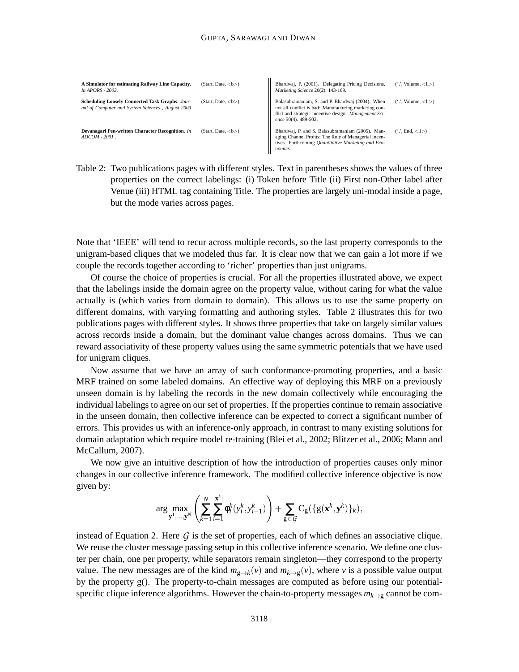| A Simulator for estimating Railway Line Capacity.<br>In APORS - 2003.                               | (Start, Date, $\langle b \rangle$ ) | Bhardwaj, P. (2001). Delegating Pricing Decisions.<br>Marketing Science 20(2). 143-169.                                                                                                    | $(\cdot$ , Volume, $\langle$ li $\rangle$ )  |
|-----------------------------------------------------------------------------------------------------|-------------------------------------|--------------------------------------------------------------------------------------------------------------------------------------------------------------------------------------------|----------------------------------------------|
| Scheduling Loosely Connected Task Graphs. Jour-<br>nal of Computer and System Sciences, August 2003 | (Start, Date, $>$ )                 | Balasubramaniam, S. and P. Bhardwaj (2004). When<br>not all conflict is bad: Manufacturing marketing con-<br>flict and strategic incentive design. Management Sci-<br>ence 50(4). 489-502. | $(\cdot$ '. Volume, $\langle$ li $\rangle$ ) |
| Devanagari Pen-written Character Recognition. In<br>$ADCOM - 2001$ .                                | (Start, Date, $\langle b \rangle$ ) | Bhardwaj, P. and S. Balasubramaniam (2005). Man-<br>aging Channel Profits: The Role of Managerial Incen-<br>tives. Forthcoming Quantitative Marketing and Eco-<br>nomics.                  | $(\cdot$ '. End, $\langle$ li $\rangle$ )    |

Table 2: Two publications pages with different styles. Text in parentheses shows the values of three properties on the correct labelings: (i) Token before Title (ii) First non-Other label after Venue (iii) HTML tag containing Title. The properties are largely uni-modal inside a page, but the mode varies across pages.

Note that 'IEEE' will tend to recur across multiple records, so the last property corresponds to the unigram-based cliques that we modeled thus far. It is clear now that we can gain a lot more if we couple the records together according to 'richer' properties than just unigrams.

Of course the choice of properties is crucial. For all the properties illustrated above, we expect that the labelings inside the domain agree on the property value, without caring for what the value actually is (which varies from domain to domain). This allows us to use the same property on different domains, with varying formatting and authoring styles. Table 2 illustrates this for two publications pages with different styles. It shows three properties that take on largely similar values across records inside a domain, but the dominant value changes across domains. Thus we can reward associativity of these property values using the same symmetric potentials that we have used for unigram cliques.

Now assume that we have an array of such conformance-promoting properties, and a basic MRF trained on some labeled domains. An effective way of deploying this MRF on a previously unseen domain is by labeling the records in the new domain collectively while encouraging the individual labelings to agree on our set of properties. If the properties continue to remain associative in the unseen domain, then collective inference can be expected to correct a significant number of errors. This provides us with an inference-only approach, in contrast to many existing solutions for domain adaptation which require model re-training (Blei et al., 2002; Blitzer et al., 2006; Mann and McCallum, 2007).

We now give an intuitive description of how the introduction of properties causes only minor changes in our collective inference framework. The modified collective inference objective is now given by:

$$
\arg\max_{\mathbf{y}^1,\ldots,\mathbf{y}^N}\left(\sum_{k=1}^N\sum_{i=1}^{|\mathbf{x}^k|}\varphi_i^k(y_i^k,y_{i-1}^k)\right)+\sum_{g\in\mathcal{G}}C_g(\{g(\mathbf{x}^k,\mathbf{y}^k)\}_k),
$$

instead of Equation 2. Here  $G$  is the set of properties, each of which defines an associative clique. We reuse the cluster message passing setup in this collective inference scenario. We define one cluster per chain, one per property, while separators remain singleton—they correspond to the property value. The new messages are of the kind  $m_{g\to k}(v)$  and  $m_{k\to g}(v)$ , where *v* is a possible value output by the property g(). The property-to-chain messages are computed as before using our potentialspecific clique inference algorithms. However the chain-to-property messages  $m_{k\to g}$  cannot be com-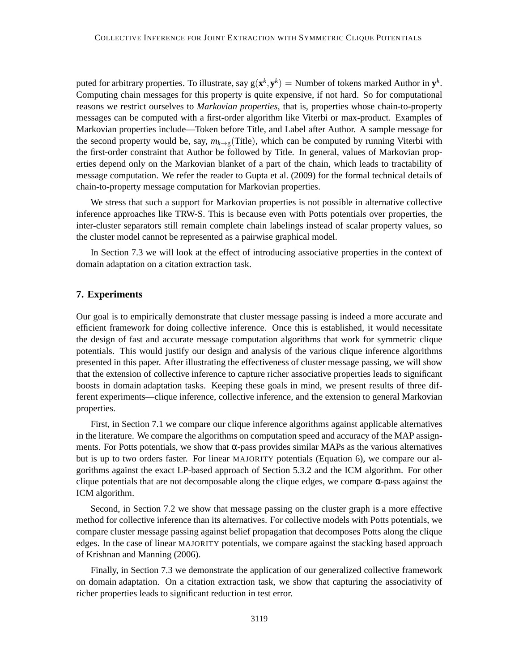puted for arbitrary properties. To illustrate, say  $g(\mathbf{x}^k, \mathbf{y}^k) =$  Number of tokens marked Author in  $\mathbf{y}^k$ . Computing chain messages for this property is quite expensive, if not hard. So for computational reasons we restrict ourselves to *Markovian properties*, that is, properties whose chain-to-property messages can be computed with a first-order algorithm like Viterbi or max-product. Examples of Markovian properties include—Token before Title, and Label after Author. A sample message for the second property would be, say,  $m_{k\to g}$ (Title), which can be computed by running Viterbi with the first-order constraint that Author be followed by Title. In general, values of Markovian properties depend only on the Markovian blanket of a part of the chain, which leads to tractability of message computation. We refer the reader to Gupta et al. (2009) for the formal technical details of chain-to-property message computation for Markovian properties.

We stress that such a support for Markovian properties is not possible in alternative collective inference approaches like TRW-S. This is because even with Potts potentials over properties, the inter-cluster separators still remain complete chain labelings instead of scalar property values, so the cluster model cannot be represented as a pairwise graphical model.

In Section 7.3 we will look at the effect of introducing associative properties in the context of domain adaptation on a citation extraction task.

# **7. Experiments**

Our goal is to empirically demonstrate that cluster message passing is indeed a more accurate and efficient framework for doing collective inference. Once this is established, it would necessitate the design of fast and accurate message computation algorithms that work for symmetric clique potentials. This would justify our design and analysis of the various clique inference algorithms presented in this paper. After illustrating the effectiveness of cluster message passing, we will show that the extension of collective inference to capture richer associative properties leads to significant boosts in domain adaptation tasks. Keeping these goals in mind, we present results of three different experiments—clique inference, collective inference, and the extension to general Markovian properties.

First, in Section 7.1 we compare our clique inference algorithms against applicable alternatives in the literature. We compare the algorithms on computation speed and accuracy of the MAP assignments. For Potts potentials, we show that  $\alpha$ -pass provides similar MAPs as the various alternatives but is up to two orders faster. For linear MAJORITY potentials (Equation 6), we compare our algorithms against the exact LP-based approach of Section 5.3.2 and the ICM algorithm. For other clique potentials that are not decomposable along the clique edges, we compare  $\alpha$ -pass against the ICM algorithm.

Second, in Section 7.2 we show that message passing on the cluster graph is a more effective method for collective inference than its alternatives. For collective models with Potts potentials, we compare cluster message passing against belief propagation that decomposes Potts along the clique edges. In the case of linear MAJORITY potentials, we compare against the stacking based approach of Krishnan and Manning (2006).

Finally, in Section 7.3 we demonstrate the application of our generalized collective framework on domain adaptation. On a citation extraction task, we show that capturing the associativity of richer properties leads to significant reduction in test error.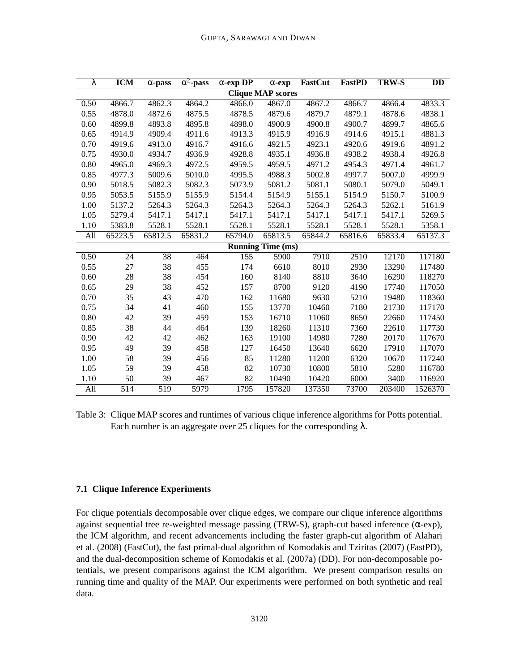| λ                        | <b>ICM</b> | $\alpha$ -pass | $\alpha^2$ -pass | $\alpha$ -exp DP | $\alpha$ -exp            | <b>FastCut</b> | <b>FastPD</b>        | <b>TRW-S</b> | <b>DD</b> |
|--------------------------|------------|----------------|------------------|------------------|--------------------------|----------------|----------------------|--------------|-----------|
| <b>Clique MAP scores</b> |            |                |                  |                  |                          |                |                      |              |           |
| 0.50                     | 4866.7     | 4862.3         | 4864.2           | 4866.0           | 4867.0                   | 4867.2         | 4866.7               | 4866.4       | 4833.3    |
| 0.55                     | 4878.0     | 4872.6         | 4875.5           | 4878.5           | 4879.6                   | 4879.7         | 4879.1               | 4878.6       | 4838.1    |
| 0.60                     | 4899.8     | 4893.8         | 4895.8           | 4898.0           | 4900.9                   | 4900.8         | 4900.7               | 4899.7       | 4865.6    |
| 0.65                     | 4914.9     | 4909.4         | 4911.6           | 4913.3           | 4915.9                   | 4916.9         | 4914.6               | 4915.1       | 4881.3    |
| 0.70                     | 4919.6     | 4913.0         | 4916.7           | 4916.6           | 4921.5                   | 4923.1         | 4920.6               | 4919.6       | 4891.2    |
| 0.75                     | 4930.0     | 4934.7         | 4936.9           | 4928.8           | 4935.1                   | 4936.8         | 4938.2               | 4938.4       | 4926.8    |
| 0.80                     | 4965.0     | 4969.3         | 4972.5           | 4959.5           | 4959.5                   | 4971.2         | 4954.3               | 4971.4       | 4961.7    |
| 0.85                     | 4977.3     | 5009.6         | 5010.0           | 4995.5           | 4988.3                   | 5002.8         | 4997.7               | 5007.0       | 4999.9    |
| 0.90                     | 5018.5     | 5082.3         | 5082.3           | 5073.9           | 5081.2                   | 5081.1         | 5080.1               | 5079.0       | 5049.1    |
| 0.95                     | 5053.5     | 5155.9         | 5155.9           | 5154.4           | 5154.9                   | 5155.1         | 5154.9               | 5150.7       | 5100.9    |
| 1.00                     | 5137.2     | 5264.3         | 5264.3           | 5264.3           | 5264.3                   | 5264.3         | 5264.3               | 5262.1       | 5161.9    |
| 1.05                     | 5279.4     | 5417.1         | 5417.1           | 5417.1           | 5417.1                   | 5417.1         | 5417.1               | 5417.1       | 5269.5    |
| 1.10                     | 5383.8     | 5528.1         | 5528.1           | 5528.1           | 5528.1                   | 5528.1         | 5528.1               | 5528.1       | 5358.1    |
| All                      | 65223.5    | 65812.5        | 65831.2          | 65794.0          | 65813.5                  | 65844.2        | $65816.\overline{6}$ | 65833.4      | 65137.3   |
|                          |            |                |                  |                  | <b>Running Time (ms)</b> |                |                      |              |           |
| 0.50                     | 24         | 38             | 464              | 155              | 5900                     | 7910           | 2510                 | 12170        | 117180    |
| 0.55                     | 27         | 38             | 455              | 174              | 6610                     | 8010           | 2930                 | 13290        | 117480    |
| 0.60                     | 28         | 38             | 454              | 160              | 8140                     | 8810           | 3640                 | 16290        | 118270    |
| 0.65                     | 29         | 38             | 452              | 157              | 8700                     | 9120           | 4190                 | 17740        | 117050    |
| 0.70                     | 35         | 43             | 470              | 162              | 11680                    | 9630           | 5210                 | 19480        | 118360    |
| 0.75                     | 34         | 41             | 460              | 155              | 13770                    | 10460          | 7180                 | 21730        | 117170    |
| 0.80                     | 42         | 39             | 459              | 153              | 16710                    | 11060          | 8650                 | 22660        | 117450    |
| 0.85                     | 38         | 44             | 464              | 139              | 18260                    | 11310          | 7360                 | 22610        | 117730    |
| 0.90                     | 42         | 42             | 462              | 163              | 19100                    | 14980          | 7280                 | 20170        | 117670    |
| 0.95                     | 49         | 39             | 458              | 127              | 16450                    | 13640          | 6620                 | 17910        | 117070    |
| 1.00                     | 58         | 39             | 456              | 85               | 11280                    | 11200          | 6320                 | 10670        | 117240    |
| 1.05                     | 59         | 39             | 458              | 82               | 10730                    | 10800          | 5810                 | 5280         | 116780    |
| 1.10                     | 50         | 39             | 467              | 82               | 10490                    | 10420          | 6000                 | 3400         | 116920    |
| All                      | 514        | 519            | 5979             | 1795             | 157820                   | 137350         | 73700                | 203400       | 1526370   |

Table 3: Clique MAP scores and runtimes of various clique inference algorithms for Potts potential. Each number is an aggregate over 25 cliques for the corresponding  $\lambda$ .

# **7.1 Clique Inference Experiments**

For clique potentials decomposable over clique edges, we compare our clique inference algorithms against sequential tree re-weighted message passing (TRW-S), graph-cut based inference  $(\alpha$ -exp), the ICM algorithm, and recent advancements including the faster graph-cut algorithm of Alahari et al. (2008) (FastCut), the fast primal-dual algorithm of Komodakis and Tziritas (2007) (FastPD), and the dual-decomposition scheme of Komodakis et al. (2007a) (DD). For non-decomposable potentials, we present comparisons against the ICM algorithm. We present comparison results on running time and quality of the MAP. Our experiments were performed on both synthetic and real data.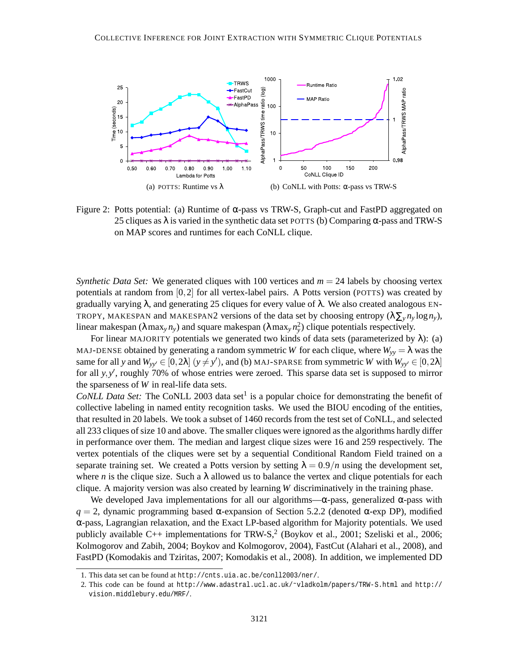

Figure 2: Potts potential: (a) Runtime of α-pass vs TRW-S, Graph-cut and FastPD aggregated on 25 cliques as  $\lambda$  is varied in the synthetic data set POTTS (b) Comparing  $\alpha$ -pass and TRW-S on MAP scores and runtimes for each CoNLL clique.

*Synthetic Data Set:* We generated cliques with 100 vertices and  $m = 24$  labels by choosing vertex potentials at random from  $[0,2]$  for all vertex-label pairs. A Potts version (POTTS) was created by gradually varying  $\lambda$ , and generating 25 cliques for every value of  $\lambda$ . We also created analogous EN-TROPY, MAKESPAN and MAKESPAN2 versions of the data set by choosing entropy  $(\lambda \sum_{v} n_v \log n_v)$ , linear makespan ( $\lambda$  max<sub>*y*</sub>  $n_y$ ) and square makespan ( $\lambda$  max<sub>*y*</sub>  $n_y^2$ ) clique potentials respectively.

For linear MAJORITY potentials we generated two kinds of data sets (parameterized by  $\lambda$ ): (a) MAJ-DENSE obtained by generating a random symmetric *W* for each clique, where  $W_{yy} = \lambda$  was the same for all *y* and  $W_{yy'} \in [0,2\lambda]$   $(y \neq y')$ , and (b) MAJ-SPARSE from symmetric *W* with  $W_{yy'} \in [0,2\lambda]$ for all *y*, *y'*, roughly 70% of whose entries were zeroed. This sparse data set is supposed to mirror the sparseness of *W* in real-life data sets.

*CoNLL Data Set:* The CoNLL 2003 data set<sup>1</sup> is a popular choice for demonstrating the benefit of collective labeling in named entity recognition tasks. We used the BIOU encoding of the entities, that resulted in 20 labels. We took a subset of 1460 records from the test set of CoNLL, and selected all 233 cliques of size 10 and above. The smaller cliques were ignored as the algorithms hardly differ in performance over them. The median and largest clique sizes were 16 and 259 respectively. The vertex potentials of the cliques were set by a sequential Conditional Random Field trained on a separate training set. We created a Potts version by setting  $\lambda = 0.9/n$  using the development set, where *n* is the clique size. Such a  $\lambda$  allowed us to balance the vertex and clique potentials for each clique. A majority version was also created by learning *W* discriminatively in the training phase.

We developed Java implementations for all our algorithms— $\alpha$ -pass, generalized  $\alpha$ -pass with  $q = 2$ , dynamic programming based  $\alpha$ -expansion of Section 5.2.2 (denoted  $\alpha$ -exp DP), modified α-pass, Lagrangian relaxation, and the Exact LP-based algorithm for Majority potentials. We used publicly available C++ implementations for TRW-S,<sup>2</sup> (Boykov et al., 2001; Szeliski et al., 2006; Kolmogorov and Zabih, 2004; Boykov and Kolmogorov, 2004), FastCut (Alahari et al., 2008), and FastPD (Komodakis and Tziritas, 2007; Komodakis et al., 2008). In addition, we implemented DD

<sup>1.</sup> This data set can be found at http://cnts.uia.ac.be/conll2003/ner/.

<sup>2.</sup> This code can be found at http://www.adastral.ucl.ac.uk/˜vladkolm/papers/TRW-S.html and http:// vision.middlebury.edu/MRF/.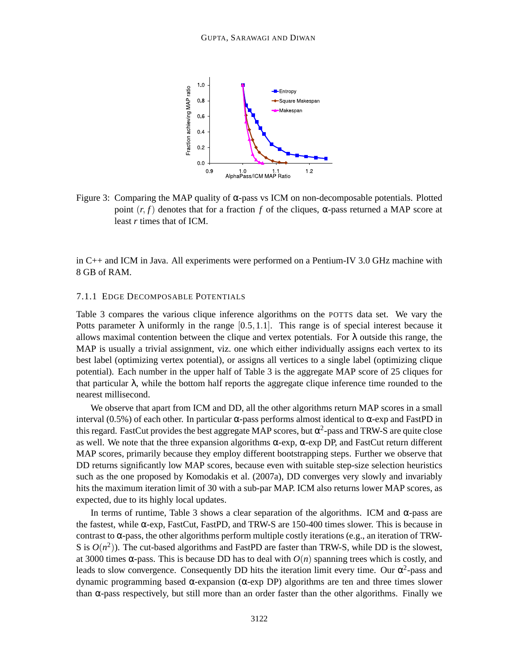

Figure 3: Comparing the MAP quality of α-pass vs ICM on non-decomposable potentials. Plotted point  $(r, f)$  denotes that for a fraction f of the cliques,  $\alpha$ -pass returned a MAP score at least *r* times that of ICM.

in C++ and ICM in Java. All experiments were performed on a Pentium-IV 3.0 GHz machine with 8 GB of RAM.

# 7.1.1 EDGE DECOMPOSABLE POTENTIALS

Table 3 compares the various clique inference algorithms on the POTTS data set. We vary the Potts parameter  $\lambda$  uniformly in the range [0.5,1.1]. This range is of special interest because it allows maximal contention between the clique and vertex potentials. For  $\lambda$  outside this range, the MAP is usually a trivial assignment, viz. one which either individually assigns each vertex to its best label (optimizing vertex potential), or assigns all vertices to a single label (optimizing clique potential). Each number in the upper half of Table 3 is the aggregate MAP score of 25 cliques for that particular  $\lambda$ , while the bottom half reports the aggregate clique inference time rounded to the nearest millisecond.

We observe that apart from ICM and DD, all the other algorithms return MAP scores in a small interval (0.5%) of each other. In particular α-pass performs almost identical to α-exp and FastPD in this regard. FastCut provides the best aggregate MAP scores, but  $\alpha^2$ -pass and TRW-S are quite close as well. We note that the three expansion algorithms  $α$ -exp,  $α$ -exp DP, and FastCut return different MAP scores, primarily because they employ different bootstrapping steps. Further we observe that DD returns significantly low MAP scores, because even with suitable step-size selection heuristics such as the one proposed by Komodakis et al. (2007a), DD converges very slowly and invariably hits the maximum iteration limit of 30 with a sub-par MAP. ICM also returns lower MAP scores, as expected, due to its highly local updates.

In terms of runtime, Table 3 shows a clear separation of the algorithms. ICM and  $\alpha$ -pass are the fastest, while  $\alpha$ -exp, FastCut, FastPD, and TRW-S are 150-400 times slower. This is because in contrast to α-pass, the other algorithms perform multiple costly iterations (e.g., an iteration of TRW-S is  $O(n^2)$ ). The cut-based algorithms and FastPD are faster than TRW-S, while DD is the slowest, at 3000 times α-pass. This is because DD has to deal with  $O(n)$  spanning trees which is costly, and leads to slow convergence. Consequently DD hits the iteration limit every time. Our  $\alpha^2$ -pass and dynamic programming based α-expansion (α-exp DP) algorithms are ten and three times slower than  $\alpha$ -pass respectively, but still more than an order faster than the other algorithms. Finally we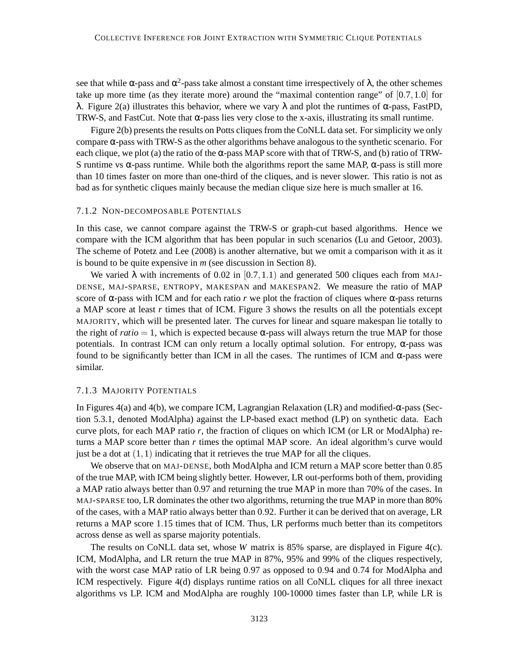see that while  $\alpha$ -pass and  $\alpha^2$ -pass take almost a constant time irrespectively of  $\lambda$ , the other schemes take up more time (as they iterate more) around the "maximal contention range" of  $[0.7, 1.0]$  for λ. Figure 2(a) illustrates this behavior, where we vary λ and plot the runtimes of  $\alpha$ -pass, FastPD, TRW-S, and FastCut. Note that  $\alpha$ -pass lies very close to the x-axis, illustrating its small runtime.

Figure 2(b) presents the results on Potts cliques from the CoNLL data set. For simplicity we only compare  $\alpha$ -pass with TRW-S as the other algorithms behave analogous to the synthetic scenario. For each clique, we plot (a) the ratio of the  $\alpha$ -pass MAP score with that of TRW-S, and (b) ratio of TRW-S runtime vs  $\alpha$ -pass runtime. While both the algorithms report the same MAP,  $\alpha$ -pass is still more than 10 times faster on more than one-third of the cliques, and is never slower. This ratio is not as bad as for synthetic cliques mainly because the median clique size here is much smaller at 16.

### 7.1.2 NON-DECOMPOSABLE POTENTIALS

In this case, we cannot compare against the TRW-S or graph-cut based algorithms. Hence we compare with the ICM algorithm that has been popular in such scenarios (Lu and Getoor, 2003). The scheme of Potetz and Lee (2008) is another alternative, but we omit a comparison with it as it is bound to be quite expensive in *m* (see discussion in Section 8).

We varied  $\lambda$  with increments of 0.02 in [0.7,1.1] and generated 500 cliques each from MAJ-DENSE, MAJ-SPARSE, ENTROPY, MAKESPAN and MAKESPAN2. We measure the ratio of MAP score of α-pass with ICM and for each ratio *r* we plot the fraction of cliques where  $α$ -pass returns a MAP score at least *r* times that of ICM. Figure 3 shows the results on all the potentials except MAJORITY, which will be presented later. The curves for linear and square makespan lie totally to the right of *ratio*  $= 1$ , which is expected because  $\alpha$ -pass will always return the true MAP for those potentials. In contrast ICM can only return a locally optimal solution. For entropy,  $\alpha$ -pass was found to be significantly better than ICM in all the cases. The runtimes of ICM and  $\alpha$ -pass were similar.

#### 7.1.3 MAJORITY POTENTIALS

In Figures 4(a) and 4(b), we compare ICM, Lagrangian Relaxation (LR) and modified-α-pass (Section 5.3.1, denoted ModAlpha) against the LP-based exact method (LP) on synthetic data. Each curve plots, for each MAP ratio *r*, the fraction of cliques on which ICM (or LR or ModAlpha) returns a MAP score better than *r* times the optimal MAP score. An ideal algorithm's curve would just be a dot at  $(1,1)$  indicating that it retrieves the true MAP for all the cliques.

We observe that on MAJ-DENSE, both ModAlpha and ICM return a MAP score better than 0.85 of the true MAP, with ICM being slightly better. However, LR out-performs both of them, providing a MAP ratio always better than 0.97 and returning the true MAP in more than 70% of the cases. In MAJ-SPARSE too, LR dominates the other two algorithms, returning the true MAP in more than 80% of the cases, with a MAP ratio always better than 0.92. Further it can be derived that on average, LR returns a MAP score 1.15 times that of ICM. Thus, LR performs much better than its competitors across dense as well as sparse majority potentials.

The results on CoNLL data set, whose *W* matrix is 85% sparse, are displayed in Figure 4(c). ICM, ModAlpha, and LR return the true MAP in 87%, 95% and 99% of the cliques respectively, with the worst case MAP ratio of LR being 0.97 as opposed to 0.94 and 0.74 for ModAlpha and ICM respectively. Figure 4(d) displays runtime ratios on all CoNLL cliques for all three inexact algorithms vs LP. ICM and ModAlpha are roughly 100-10000 times faster than LP, while LR is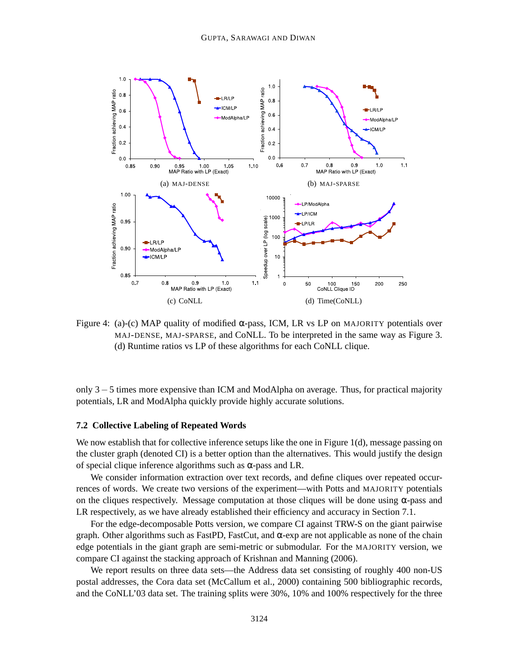

Figure 4: (a)-(c) MAP quality of modified  $\alpha$ -pass, ICM, LR vs LP on MAJORITY potentials over MAJ-DENSE, MAJ-SPARSE, and CoNLL. To be interpreted in the same way as Figure 3. (d) Runtime ratios vs LP of these algorithms for each CoNLL clique.

only 3−5 times more expensive than ICM and ModAlpha on average. Thus, for practical majority potentials, LR and ModAlpha quickly provide highly accurate solutions.

# **7.2 Collective Labeling of Repeated Words**

We now establish that for collective inference setups like the one in Figure 1(d), message passing on the cluster graph (denoted CI) is a better option than the alternatives. This would justify the design of special clique inference algorithms such as α-pass and LR.

We consider information extraction over text records, and define cliques over repeated occurrences of words. We create two versions of the experiment—with Potts and MAJORITY potentials on the cliques respectively. Message computation at those cliques will be done using  $\alpha$ -pass and LR respectively, as we have already established their efficiency and accuracy in Section 7.1.

For the edge-decomposable Potts version, we compare CI against TRW-S on the giant pairwise graph. Other algorithms such as FastPD, FastCut, and  $\alpha$ -exp are not applicable as none of the chain edge potentials in the giant graph are semi-metric or submodular. For the MAJORITY version, we compare CI against the stacking approach of Krishnan and Manning (2006).

We report results on three data sets—the Address data set consisting of roughly 400 non-US postal addresses, the Cora data set (McCallum et al., 2000) containing 500 bibliographic records, and the CoNLL'03 data set. The training splits were 30%, 10% and 100% respectively for the three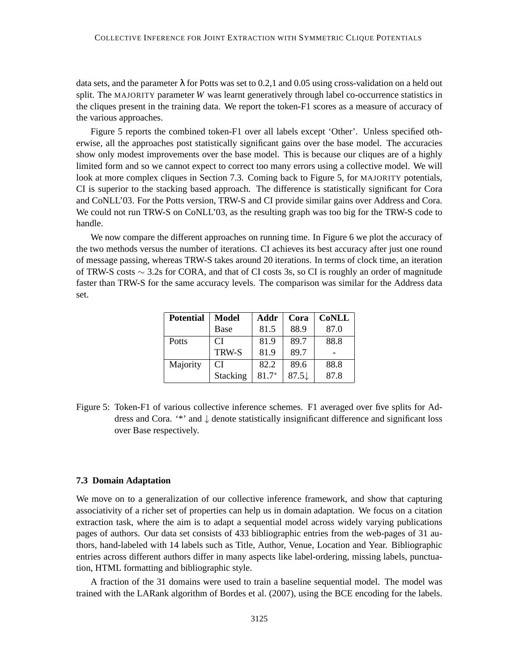data sets, and the parameter  $\lambda$  for Potts was set to 0.2,1 and 0.05 using cross-validation on a held out split. The MAJORITY parameter *W* was learnt generatively through label co-occurrence statistics in the cliques present in the training data. We report the token-F1 scores as a measure of accuracy of the various approaches.

Figure 5 reports the combined token-F1 over all labels except 'Other'. Unless specified otherwise, all the approaches post statistically significant gains over the base model. The accuracies show only modest improvements over the base model. This is because our cliques are of a highly limited form and so we cannot expect to correct too many errors using a collective model. We will look at more complex cliques in Section 7.3. Coming back to Figure 5, for MAJORITY potentials, CI is superior to the stacking based approach. The difference is statistically significant for Cora and CoNLL'03. For the Potts version, TRW-S and CI provide similar gains over Address and Cora. We could not run TRW-S on CoNLL'03, as the resulting graph was too big for the TRW-S code to handle.

We now compare the different approaches on running time. In Figure 6 we plot the accuracy of the two methods versus the number of iterations. CI achieves its best accuracy after just one round of message passing, whereas TRW-S takes around 20 iterations. In terms of clock time, an iteration of TRW-S costs  $\sim$  3.2s for CORA, and that of CI costs 3s, so CI is roughly an order of magnitude faster than TRW-S for the same accuracy levels. The comparison was similar for the Address data set.

| <b>Potential</b> | Model           | Addr    | Cora             | <b>CoNLL</b> |  |
|------------------|-----------------|---------|------------------|--------------|--|
|                  | Base            | 81.5    | 88.9             | 87.0         |  |
| Potts            | CI.             | 81.9    | 89.7             | 88.8         |  |
|                  | TRW-S           | 81.9    | 89.7             |              |  |
| Majority         | CI.             | 82.2    | 89.6             | 88.8         |  |
|                  | <b>Stacking</b> | $81.7*$ | $87.5\downarrow$ | 87.8         |  |

Figure 5: Token-F1 of various collective inference schemes. F1 averaged over five splits for Address and Cora. '\*' and ↓ denote statistically insignificant difference and significant loss over Base respectively.

# **7.3 Domain Adaptation**

We move on to a generalization of our collective inference framework, and show that capturing associativity of a richer set of properties can help us in domain adaptation. We focus on a citation extraction task, where the aim is to adapt a sequential model across widely varying publications pages of authors. Our data set consists of 433 bibliographic entries from the web-pages of 31 authors, hand-labeled with 14 labels such as Title, Author, Venue, Location and Year. Bibliographic entries across different authors differ in many aspects like label-ordering, missing labels, punctuation, HTML formatting and bibliographic style.

A fraction of the 31 domains were used to train a baseline sequential model. The model was trained with the LARank algorithm of Bordes et al. (2007), using the BCE encoding for the labels.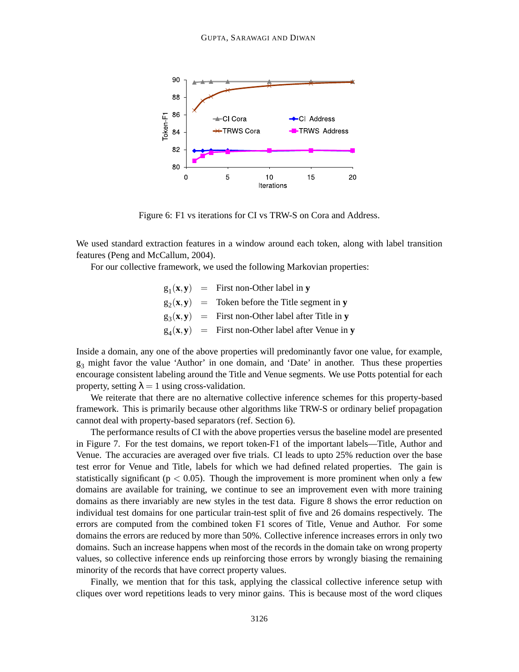

Figure 6: F1 vs iterations for CI vs TRW-S on Cora and Address.

We used standard extraction features in a window around each token, along with label transition features (Peng and McCallum, 2004).

For our collective framework, we used the following Markovian properties:

 $g_1(\mathbf{x}, \mathbf{y})$  = First non-Other label in **y**  $g_2(\mathbf{x}, \mathbf{y})$  = Token before the Title segment in **y**  $g_3(\mathbf{x}, \mathbf{y})$  = First non-Other label after Title in **y**  $g_4(\mathbf{x}, \mathbf{y})$  = First non-Other label after Venue in **y** 

Inside a domain, any one of the above properties will predominantly favor one value, for example,  $g_3$  might favor the value 'Author' in one domain, and 'Date' in another. Thus these properties encourage consistent labeling around the Title and Venue segments. We use Potts potential for each property, setting  $\lambda = 1$  using cross-validation.

We reiterate that there are no alternative collective inference schemes for this property-based framework. This is primarily because other algorithms like TRW-S or ordinary belief propagation cannot deal with property-based separators (ref. Section 6).

The performance results of CI with the above properties versus the baseline model are presented in Figure 7. For the test domains, we report token-F1 of the important labels—Title, Author and Venue. The accuracies are averaged over five trials. CI leads to upto 25% reduction over the base test error for Venue and Title, labels for which we had defined related properties. The gain is statistically significant ( $p < 0.05$ ). Though the improvement is more prominent when only a few domains are available for training, we continue to see an improvement even with more training domains as there invariably are new styles in the test data. Figure 8 shows the error reduction on individual test domains for one particular train-test split of five and 26 domains respectively. The errors are computed from the combined token F1 scores of Title, Venue and Author. For some domains the errors are reduced by more than 50%. Collective inference increases errors in only two domains. Such an increase happens when most of the records in the domain take on wrong property values, so collective inference ends up reinforcing those errors by wrongly biasing the remaining minority of the records that have correct property values.

Finally, we mention that for this task, applying the classical collective inference setup with cliques over word repetitions leads to very minor gains. This is because most of the word cliques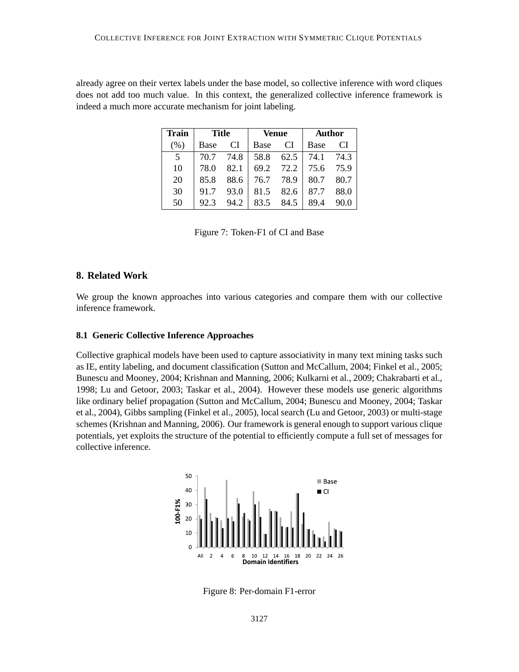already agree on their vertex labels under the base model, so collective inference with word cliques does not add too much value. In this context, the generalized collective inference framework is indeed a much more accurate mechanism for joint labeling.

| Train | <b>Title</b> |      | Venue |      | <b>Author</b> |      |
|-------|--------------|------|-------|------|---------------|------|
| (% )  | Base         | CI   | Base  | СI   | Base          | СI   |
| .5    | 70.7         | 74.8 | 58.8  | 62.5 | 74.1          | 74.3 |
| 10    | 78.0         | 82.1 | 69.2  | 72.2 | 75.6          | 75.9 |
| 20    | 85.8         | 88.6 | 76.7  | 78.9 | 80.7          | 80.7 |
| 30    | 91.7         | 93.0 | 81.5  | 82.6 | 87.7          | 88.0 |
| 50    | 92.3         | 94.2 | 83.5  | 84.5 | 89.4          | 90.0 |

Figure 7: Token-F1 of CI and Base

# **8. Related Work**

We group the known approaches into various categories and compare them with our collective inference framework.

# **8.1 Generic Collective Inference Approaches**

Collective graphical models have been used to capture associativity in many text mining tasks such as IE, entity labeling, and document classification (Sutton and McCallum, 2004; Finkel et al., 2005; Bunescu and Mooney, 2004; Krishnan and Manning, 2006; Kulkarni et al., 2009; Chakrabarti et al., 1998; Lu and Getoor, 2003; Taskar et al., 2004). However these models use generic algorithms like ordinary belief propagation (Sutton and McCallum, 2004; Bunescu and Mooney, 2004; Taskar et al., 2004), Gibbs sampling (Finkel et al., 2005), local search (Lu and Getoor, 2003) or multi-stage schemes (Krishnan and Manning, 2006). Our framework is general enough to support various clique potentials, yet exploits the structure of the potential to efficiently compute a full set of messages for collective inference.



Figure 8: Per-domain F1-error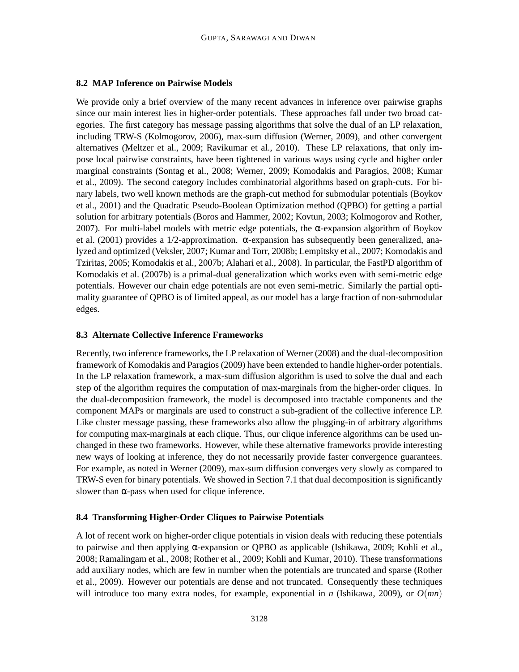# **8.2 MAP Inference on Pairwise Models**

We provide only a brief overview of the many recent advances in inference over pairwise graphs since our main interest lies in higher-order potentials. These approaches fall under two broad categories. The first category has message passing algorithms that solve the dual of an LP relaxation, including TRW-S (Kolmogorov, 2006), max-sum diffusion (Werner, 2009), and other convergent alternatives (Meltzer et al., 2009; Ravikumar et al., 2010). These LP relaxations, that only impose local pairwise constraints, have been tightened in various ways using cycle and higher order marginal constraints (Sontag et al., 2008; Werner, 2009; Komodakis and Paragios, 2008; Kumar et al., 2009). The second category includes combinatorial algorithms based on graph-cuts. For binary labels, two well known methods are the graph-cut method for submodular potentials (Boykov et al., 2001) and the Quadratic Pseudo-Boolean Optimization method (QPBO) for getting a partial solution for arbitrary potentials (Boros and Hammer, 2002; Kovtun, 2003; Kolmogorov and Rother, 2007). For multi-label models with metric edge potentials, the α-expansion algorithm of Boykov et al. (2001) provides a 1/2-approximation.  $\alpha$ -expansion has subsequently been generalized, analyzed and optimized (Veksler, 2007; Kumar and Torr, 2008b; Lempitsky et al., 2007; Komodakis and Tziritas, 2005; Komodakis et al., 2007b; Alahari et al., 2008). In particular, the FastPD algorithm of Komodakis et al. (2007b) is a primal-dual generalization which works even with semi-metric edge potentials. However our chain edge potentials are not even semi-metric. Similarly the partial optimality guarantee of QPBO is of limited appeal, as our model has a large fraction of non-submodular edges.

# **8.3 Alternate Collective Inference Frameworks**

Recently, two inference frameworks, the LP relaxation of Werner (2008) and the dual-decomposition framework of Komodakis and Paragios (2009) have been extended to handle higher-order potentials. In the LP relaxation framework, a max-sum diffusion algorithm is used to solve the dual and each step of the algorithm requires the computation of max-marginals from the higher-order cliques. In the dual-decomposition framework, the model is decomposed into tractable components and the component MAPs or marginals are used to construct a sub-gradient of the collective inference LP. Like cluster message passing, these frameworks also allow the plugging-in of arbitrary algorithms for computing max-marginals at each clique. Thus, our clique inference algorithms can be used unchanged in these two frameworks. However, while these alternative frameworks provide interesting new ways of looking at inference, they do not necessarily provide faster convergence guarantees. For example, as noted in Werner (2009), max-sum diffusion converges very slowly as compared to TRW-S even for binary potentials. We showed in Section 7.1 that dual decomposition is significantly slower than  $\alpha$ -pass when used for clique inference.

# **8.4 Transforming Higher-Order Cliques to Pairwise Potentials**

A lot of recent work on higher-order clique potentials in vision deals with reducing these potentials to pairwise and then applying  $\alpha$ -expansion or QPBO as applicable (Ishikawa, 2009; Kohli et al., 2008; Ramalingam et al., 2008; Rother et al., 2009; Kohli and Kumar, 2010). These transformations add auxiliary nodes, which are few in number when the potentials are truncated and sparse (Rother et al., 2009). However our potentials are dense and not truncated. Consequently these techniques will introduce too many extra nodes, for example, exponential in *n* (Ishikawa, 2009), or *O*(*mn*)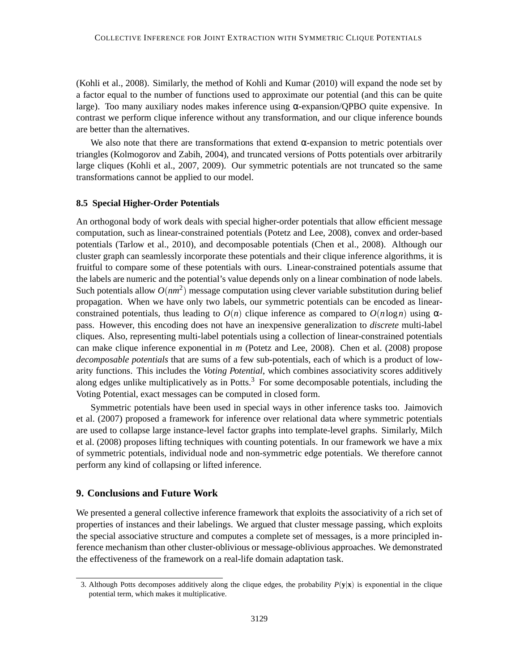(Kohli et al., 2008). Similarly, the method of Kohli and Kumar (2010) will expand the node set by a factor equal to the number of functions used to approximate our potential (and this can be quite large). Too many auxiliary nodes makes inference using α-expansion/QPBO quite expensive. In contrast we perform clique inference without any transformation, and our clique inference bounds are better than the alternatives.

We also note that there are transformations that extend  $\alpha$ -expansion to metric potentials over triangles (Kolmogorov and Zabih, 2004), and truncated versions of Potts potentials over arbitrarily large cliques (Kohli et al., 2007, 2009). Our symmetric potentials are not truncated so the same transformations cannot be applied to our model.

### **8.5 Special Higher-Order Potentials**

An orthogonal body of work deals with special higher-order potentials that allow efficient message computation, such as linear-constrained potentials (Potetz and Lee, 2008), convex and order-based potentials (Tarlow et al., 2010), and decomposable potentials (Chen et al., 2008). Although our cluster graph can seamlessly incorporate these potentials and their clique inference algorithms, it is fruitful to compare some of these potentials with ours. Linear-constrained potentials assume that the labels are numeric and the potential's value depends only on a linear combination of node labels. Such potentials allow *O*(*nm*<sup>2</sup> ) message computation using clever variable substitution during belief propagation. When we have only two labels, our symmetric potentials can be encoded as linearconstrained potentials, thus leading to  $O(n)$  clique inference as compared to  $O(n \log n)$  using  $\alpha$ pass. However, this encoding does not have an inexpensive generalization to *discrete* multi-label cliques. Also, representing multi-label potentials using a collection of linear-constrained potentials can make clique inference exponential in *m* (Potetz and Lee, 2008). Chen et al. (2008) propose *decomposable potentials* that are sums of a few sub-potentials, each of which is a product of lowarity functions. This includes the *Voting Potential*, which combines associativity scores additively along edges unlike multiplicatively as in Potts. $3$  For some decomposable potentials, including the Voting Potential, exact messages can be computed in closed form.

Symmetric potentials have been used in special ways in other inference tasks too. Jaimovich et al. (2007) proposed a framework for inference over relational data where symmetric potentials are used to collapse large instance-level factor graphs into template-level graphs. Similarly, Milch et al. (2008) proposes lifting techniques with counting potentials. In our framework we have a mix of symmetric potentials, individual node and non-symmetric edge potentials. We therefore cannot perform any kind of collapsing or lifted inference.

# **9. Conclusions and Future Work**

We presented a general collective inference framework that exploits the associativity of a rich set of properties of instances and their labelings. We argued that cluster message passing, which exploits the special associative structure and computes a complete set of messages, is a more principled inference mechanism than other cluster-oblivious or message-oblivious approaches. We demonstrated the effectiveness of the framework on a real-life domain adaptation task.

<sup>3.</sup> Although Potts decomposes additively along the clique edges, the probability  $P(y|x)$  is exponential in the clique potential term, which makes it multiplicative.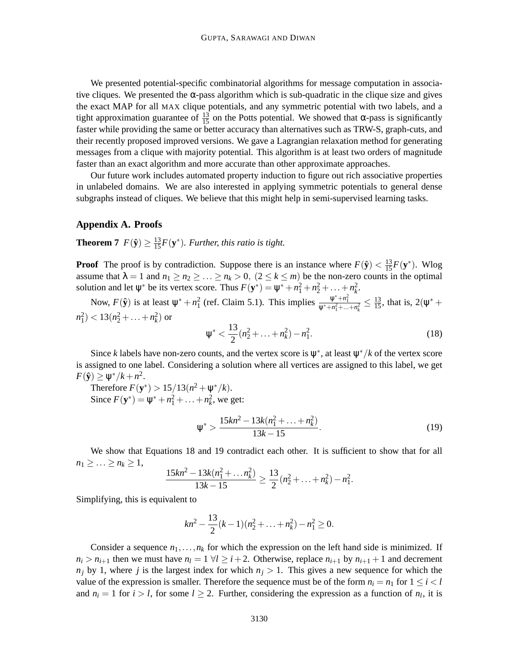We presented potential-specific combinatorial algorithms for message computation in associative cliques. We presented the  $\alpha$ -pass algorithm which is sub-quadratic in the clique size and gives the exact MAP for all MAX clique potentials, and any symmetric potential with two labels, and a tight approximation guarantee of  $\frac{13}{15}$  on the Potts potential. We showed that  $\alpha$ -pass is significantly faster while providing the same or better accuracy than alternatives such as TRW-S, graph-cuts, and their recently proposed improved versions. We gave a Lagrangian relaxation method for generating messages from a clique with majority potential. This algorithm is at least two orders of magnitude faster than an exact algorithm and more accurate than other approximate approaches.

Our future work includes automated property induction to figure out rich associative properties in unlabeled domains. We are also interested in applying symmetric potentials to general dense subgraphs instead of cliques. We believe that this might help in semi-supervised learning tasks.

# **Appendix A. Proofs**

**Theorem 7**  $F(\hat{\mathbf{y}}) \geq \frac{13}{15}F(\mathbf{y}^*)$ *. Further, this ratio is tight.* 

**Proof** The proof is by contradiction. Suppose there is an instance where  $F(\hat{y}) < \frac{13}{15}F(\mathbf{y}^*)$ . Wlog assume that  $\lambda = 1$  and  $n_1 \ge n_2 \ge \ldots \ge n_k > 0$ ,  $(2 \le k \le m)$  be the non-zero counts in the optimal solution and let  $\psi^*$  be its vertex score. Thus  $F(\mathbf{y}^*) = \psi^* + n_1^2 + n_2^2 + \dots + n_k^2$ .

Now,  $F(\hat{y})$  is at least  $\psi^* + n_1^2$  (ref. Claim 5.1). This implies  $\frac{\psi^* + n_1^2}{\psi^* + n_1^2 + ... + n_k^2} \le \frac{13}{15}$ , that is,  $2(\psi^* +$  $n_1^2$ ) < 13( $n_2^2$  + ... +  $n_k^2$ ) or 13

$$
\Psi^* < \frac{13}{2}(n_2^2 + \ldots + n_k^2) - n_1^2. \tag{18}
$$

Since *k* labels have non-zero counts, and the vertex score is  $\psi^*$ , at least  $\psi^*/k$  of the vertex score is assigned to one label. Considering a solution where all vertices are assigned to this label, we get  $F(\hat{\mathbf{y}}) \geq \Psi^* / k + n^2$ .

Therefore  $F(y^*) > 15/13(n^2 + \psi^*/k)$ . Since  $F(\mathbf{y}^*) = \psi^* + n_1^2 + ... + n_k^2$ , we get:

$$
\Psi^* > \frac{15kn^2 - 13k(n_1^2 + \dots + n_k^2)}{13k - 15}.
$$
\n(19)

We show that Equations 18 and 19 contradict each other. It is sufficient to show that for all  $n_1 \geq \ldots \geq n_k \geq 1$ 

$$
\frac{15kn^2 - 13k(n_1^2 + \dots + n_k^2)}{13k - 15} \ge \frac{13}{2}(n_2^2 + \dots + n_k^2) - n_1^2.
$$

Simplifying, this is equivalent to

$$
kn^2 - \frac{13}{2}(k-1)(n_2^2 + \ldots + n_k^2) - n_1^2 \ge 0.
$$

Consider a sequence  $n_1, \ldots, n_k$  for which the expression on the left hand side is minimized. If  $n_i > n_{i+1}$  then we must have  $n_l = 1 \forall l \geq i+2$ . Otherwise, replace  $n_{i+1}$  by  $n_{i+1} + 1$  and decrement  $n_j$  by 1, where *j* is the largest index for which  $n_j > 1$ . This gives a new sequence for which the value of the expression is smaller. Therefore the sequence must be of the form  $n_i = n_1$  for  $1 \le i < l$ and  $n_i = 1$  for  $i > l$ , for some  $l \geq 2$ . Further, considering the expression as a function of  $n_l$ , it is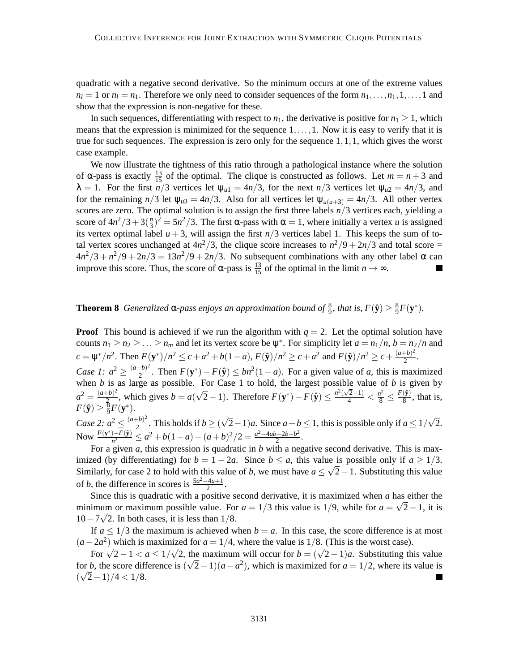quadratic with a negative second derivative. So the minimum occurs at one of the extreme values  $n_l = 1$  or  $n_l = n_1$ . Therefore we only need to consider sequences of the form  $n_1, \ldots, n_1, 1, \ldots, 1$  and show that the expression is non-negative for these.

In such sequences, differentiating with respect to  $n_1$ , the derivative is positive for  $n_1 \geq 1$ , which means that the expression is minimized for the sequence 1,...,1. Now it is easy to verify that it is true for such sequences. The expression is zero only for the sequence  $1,1,1$ , which gives the worst case example.

We now illustrate the tightness of this ratio through a pathological instance where the solution of  $\alpha$ -pass is exactly  $\frac{13}{15}$  of the optimal. The clique is constructed as follows. Let  $m = n + 3$  and  $\lambda = 1$ . For the first  $\frac{n}{3}$  vertices let  $\psi_{u1} = 4n/3$ , for the next  $n/3$  vertices let  $\psi_{u2} = 4n/3$ , and for the remaining  $n/3$  let  $\psi_{u3} = 4n/3$ . Also for all vertices let  $\psi_{u(u+3)} = 4n/3$ . All other vertex scores are zero. The optimal solution is to assign the first three labels *n*/3 vertices each, yielding a score of  $4n^2/3 + 3(\frac{n}{3})$  $\frac{n}{3}$ )<sup>2</sup> = 5*n*<sup>2</sup>/3. The first α-pass with  $\alpha$  = 1, where initially a vertex *u* is assigned its vertex optimal label  $u + 3$ , will assign the first  $n/3$  vertices label 1. This keeps the sum of total vertex scores unchanged at  $4n^2/3$ , the clique score increases to  $n^2/9 + 2n/3$  and total score =  $4n^2/3 + n^2/9 + 2n/3 = 13n^2/9 + 2n/3$ . No subsequent combinations with any other label  $\alpha$  can improve this score. Thus, the score of  $\alpha$ -pass is  $\frac{13}{15}$  of the optimal in the limit  $n \to \infty$ .

#### **Theorem 8** *Generalized*  $\alpha$ -pass enjoys an approximation bound of  $\frac{8}{9}$ , that is,  $F(\hat{y}) \ge \frac{8}{9}$  $\frac{8}{9}F(\mathbf{y}^*)$ .

**Proof** This bound is achieved if we run the algorithm with  $q = 2$ . Let the optimal solution have counts  $n_1 \ge n_2 \ge \ldots \ge n_m$  and let its vertex score be  $\psi^*$ . For simplicity let  $a = n_1/n$ ,  $b = n_2/n$  and  $c = \psi^* / n^2$ . Then  $F(y^*) / n^2 \le c + a^2 + b(1 - a)$ ,  $F(\hat{y}) / n^2 \ge c + a^2$  and  $F(\hat{y}) / n^2 \ge c + \frac{(a+b)^2}{2}$  $rac{+b)^2}{2}$ . *Case 1:*  $a^2 \ge \frac{(a+b)^2}{2}$  $\frac{(-b)^2}{2}$ . Then  $F(\mathbf{y}^*) - F(\hat{\mathbf{y}}) \leq bn^2(1 - a)$ . For a given value of *a*, this is maximized when *b* is as large as possible. For Case 1 to hold, the largest possible value of *b* is given by  $a^2 = \frac{(a+b)^2}{2}$  $\frac{1-b)^2}{2}$ , which gives  $b = a(\sqrt{2}-1)$ . Therefore  $F(\mathbf{y}^*) - F(\hat{\mathbf{y}}) \le \frac{n^2(\sqrt{2}-1)}{4} < \frac{n^2}{8} \le \frac{F(\hat{\mathbf{y}})}{8}$  $\frac{(\mathbf{y})}{8}$ , that is,  $F(\hat{\textbf{y}}) \geq \frac{8}{9}F(\textbf{y}^*).$ 9

*Case 2:*  $a^2 \leq \frac{(a+b)^2}{2}$  $\frac{(b)^2}{2}$ . This holds if  $b \ge (\sqrt{2}-1)a$ . Since  $a+b \le 1$ , this is possible only if  $a \le 1/\sqrt{2}$ . Now  $\frac{F(y^*)-F(\hat{y})}{n^2} \le a^2 + b(1-a) - (a+b)^2/2 = \frac{a^2-4ab+2b-b^2}{2}$  $\frac{a+2b-b^2}{2}$ .

For a given *a*, this expression is quadratic in *b* with a negative second derivative. This is maximized (by differentiating) for  $b = 1 - 2a$ . Since  $b \le a$ , this value is possible only if  $a \ge 1/3$ . Similarly, for case 2 to hold with this value of *b*, we must have  $a \leq \sqrt{2}-1$ . Substituting this value of *b*, the difference in scores is  $\frac{5a^2 - 4a + 1}{2}$ .

Since this is quadratic with a positive second derivative, it is maximized when *a* has either the minimum or maximum possible value. For  $a = 1/3$  this value is  $1/9$ , while for  $a = \sqrt{2} - 1$ , it is 10−7 $\sqrt{2}$ . In both cases, it is less than 1/8.

If  $a \leq 1/3$  the maximum is achieved when  $b = a$ . In this case, the score difference is at most  $(a-2a^2)$  which is maximized for  $a=1/4$ , where the value is 1/8. (This is the worst case).

For  $\sqrt{2}-1 < a \le 1/\sqrt{2}$ , the maximum will occur for  $b = (\sqrt{2}-1)a$ . Substituting this value for *b*, the score difference is  $(\sqrt{2}-1)(a-a^2)$ , which is maximized for  $a = 1/2$ , where its value is  $(\sqrt{2}-1)/4 < 1/8$ .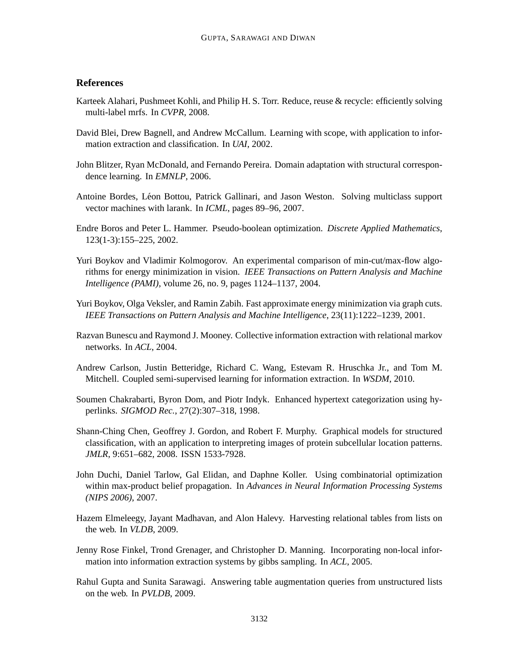# **References**

- Karteek Alahari, Pushmeet Kohli, and Philip H. S. Torr. Reduce, reuse & recycle: efficiently solving multi-label mrfs. In *CVPR*, 2008.
- David Blei, Drew Bagnell, and Andrew McCallum. Learning with scope, with application to information extraction and classification. In *UAI*, 2002.
- John Blitzer, Ryan McDonald, and Fernando Pereira. Domain adaptation with structural correspondence learning. In *EMNLP*, 2006.
- Antoine Bordes, Léon Bottou, Patrick Gallinari, and Jason Weston. Solving multiclass support vector machines with larank. In *ICML*, pages 89–96, 2007.
- Endre Boros and Peter L. Hammer. Pseudo-boolean optimization. *Discrete Applied Mathematics*, 123(1-3):155–225, 2002.
- Yuri Boykov and Vladimir Kolmogorov. An experimental comparison of min-cut/max-flow algorithms for energy minimization in vision. *IEEE Transactions on Pattern Analysis and Machine Intelligence (PAMI)*, volume 26, no. 9, pages 1124–1137, 2004.
- Yuri Boykov, Olga Veksler, and Ramin Zabih. Fast approximate energy minimization via graph cuts. *IEEE Transactions on Pattern Analysis and Machine Intelligence*, 23(11):1222–1239, 2001.
- Razvan Bunescu and Raymond J. Mooney. Collective information extraction with relational markov networks. In *ACL*, 2004.
- Andrew Carlson, Justin Betteridge, Richard C. Wang, Estevam R. Hruschka Jr., and Tom M. Mitchell. Coupled semi-supervised learning for information extraction. In *WSDM*, 2010.
- Soumen Chakrabarti, Byron Dom, and Piotr Indyk. Enhanced hypertext categorization using hyperlinks. *SIGMOD Rec.*, 27(2):307–318, 1998.
- Shann-Ching Chen, Geoffrey J. Gordon, and Robert F. Murphy. Graphical models for structured classification, with an application to interpreting images of protein subcellular location patterns. *JMLR*, 9:651–682, 2008. ISSN 1533-7928.
- John Duchi, Daniel Tarlow, Gal Elidan, and Daphne Koller. Using combinatorial optimization within max-product belief propagation. In *Advances in Neural Information Processing Systems (NIPS 2006)*, 2007.
- Hazem Elmeleegy, Jayant Madhavan, and Alon Halevy. Harvesting relational tables from lists on the web. In *VLDB*, 2009.
- Jenny Rose Finkel, Trond Grenager, and Christopher D. Manning. Incorporating non-local information into information extraction systems by gibbs sampling. In *ACL*, 2005.
- Rahul Gupta and Sunita Sarawagi. Answering table augmentation queries from unstructured lists on the web. In *PVLDB*, 2009.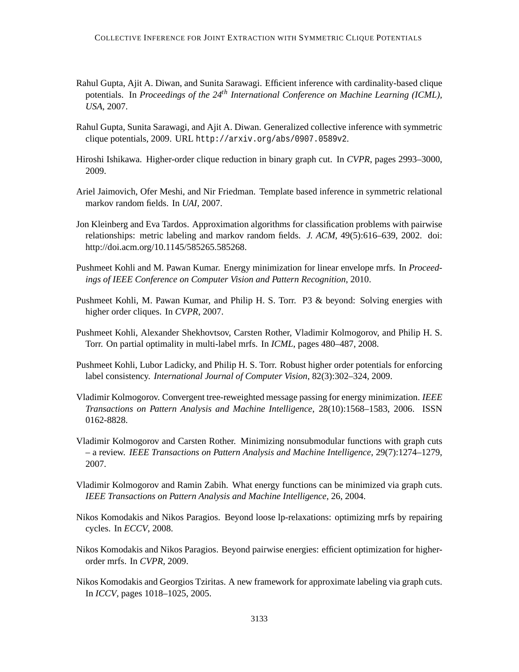- Rahul Gupta, Ajit A. Diwan, and Sunita Sarawagi. Efficient inference with cardinality-based clique potentials. In *Proceedings of the 24th International Conference on Machine Learning (ICML), USA*, 2007.
- Rahul Gupta, Sunita Sarawagi, and Ajit A. Diwan. Generalized collective inference with symmetric clique potentials, 2009. URL http://arxiv.org/abs/0907.0589v2.
- Hiroshi Ishikawa. Higher-order clique reduction in binary graph cut. In *CVPR*, pages 2993–3000, 2009.
- Ariel Jaimovich, Ofer Meshi, and Nir Friedman. Template based inference in symmetric relational markov random fields. In *UAI*, 2007.
- Jon Kleinberg and Eva Tardos. Approximation algorithms for classification problems with pairwise relationships: metric labeling and markov random fields. *J. ACM*, 49(5):616–639, 2002. doi: http://doi.acm.org/10.1145/585265.585268.
- Pushmeet Kohli and M. Pawan Kumar. Energy minimization for linear envelope mrfs. In *Proceedings of IEEE Conference on Computer Vision and Pattern Recognition*, 2010.
- Pushmeet Kohli, M. Pawan Kumar, and Philip H. S. Torr. P3 & beyond: Solving energies with higher order cliques. In *CVPR*, 2007.
- Pushmeet Kohli, Alexander Shekhovtsov, Carsten Rother, Vladimir Kolmogorov, and Philip H. S. Torr. On partial optimality in multi-label mrfs. In *ICML*, pages 480–487, 2008.
- Pushmeet Kohli, Lubor Ladicky, and Philip H. S. Torr. Robust higher order potentials for enforcing label consistency. *International Journal of Computer Vision*, 82(3):302–324, 2009.
- Vladimir Kolmogorov. Convergent tree-reweighted message passing for energy minimization. *IEEE Transactions on Pattern Analysis and Machine Intelligence*, 28(10):1568–1583, 2006. ISSN 0162-8828.
- Vladimir Kolmogorov and Carsten Rother. Minimizing nonsubmodular functions with graph cuts – a review. *IEEE Transactions on Pattern Analysis and Machine Intelligence*, 29(7):1274–1279, 2007.
- Vladimir Kolmogorov and Ramin Zabih. What energy functions can be minimized via graph cuts. *IEEE Transactions on Pattern Analysis and Machine Intelligence*, 26, 2004.
- Nikos Komodakis and Nikos Paragios. Beyond loose lp-relaxations: optimizing mrfs by repairing cycles. In *ECCV*, 2008.
- Nikos Komodakis and Nikos Paragios. Beyond pairwise energies: efficient optimization for higherorder mrfs. In *CVPR*, 2009.
- Nikos Komodakis and Georgios Tziritas. A new framework for approximate labeling via graph cuts. In *ICCV*, pages 1018–1025, 2005.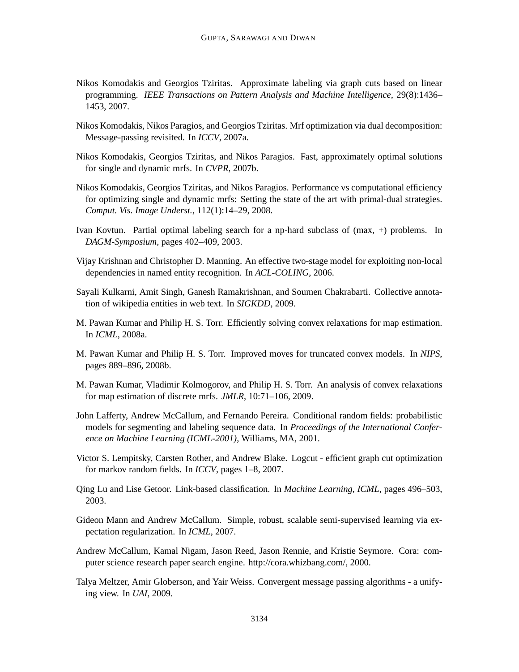- Nikos Komodakis and Georgios Tziritas. Approximate labeling via graph cuts based on linear programming. *IEEE Transactions on Pattern Analysis and Machine Intelligence*, 29(8):1436– 1453, 2007.
- Nikos Komodakis, Nikos Paragios, and Georgios Tziritas. Mrf optimization via dual decomposition: Message-passing revisited. In *ICCV*, 2007a.
- Nikos Komodakis, Georgios Tziritas, and Nikos Paragios. Fast, approximately optimal solutions for single and dynamic mrfs. In *CVPR*, 2007b.
- Nikos Komodakis, Georgios Tziritas, and Nikos Paragios. Performance vs computational efficiency for optimizing single and dynamic mrfs: Setting the state of the art with primal-dual strategies. *Comput. Vis. Image Underst.*, 112(1):14–29, 2008.
- Ivan Kovtun. Partial optimal labeling search for a np-hard subclass of (max, +) problems. In *DAGM-Symposium*, pages 402–409, 2003.
- Vijay Krishnan and Christopher D. Manning. An effective two-stage model for exploiting non-local dependencies in named entity recognition. In *ACL-COLING*, 2006.
- Sayali Kulkarni, Amit Singh, Ganesh Ramakrishnan, and Soumen Chakrabarti. Collective annotation of wikipedia entities in web text. In *SIGKDD*, 2009.
- M. Pawan Kumar and Philip H. S. Torr. Efficiently solving convex relaxations for map estimation. In *ICML*, 2008a.
- M. Pawan Kumar and Philip H. S. Torr. Improved moves for truncated convex models. In *NIPS*, pages 889–896, 2008b.
- M. Pawan Kumar, Vladimir Kolmogorov, and Philip H. S. Torr. An analysis of convex relaxations for map estimation of discrete mrfs. *JMLR*, 10:71–106, 2009.
- John Lafferty, Andrew McCallum, and Fernando Pereira. Conditional random fields: probabilistic models for segmenting and labeling sequence data. In *Proceedings of the International Conference on Machine Learning (ICML-2001)*, Williams, MA, 2001.
- Victor S. Lempitsky, Carsten Rother, and Andrew Blake. Logcut efficient graph cut optimization for markov random fields. In *ICCV*, pages 1–8, 2007.
- Qing Lu and Lise Getoor. Link-based classification. In *Machine Learning, ICML*, pages 496–503, 2003.
- Gideon Mann and Andrew McCallum. Simple, robust, scalable semi-supervised learning via expectation regularization. In *ICML*, 2007.
- Andrew McCallum, Kamal Nigam, Jason Reed, Jason Rennie, and Kristie Seymore. Cora: computer science research paper search engine. http://cora.whizbang.com/, 2000.
- Talya Meltzer, Amir Globerson, and Yair Weiss. Convergent message passing algorithms a unifying view. In *UAI*, 2009.